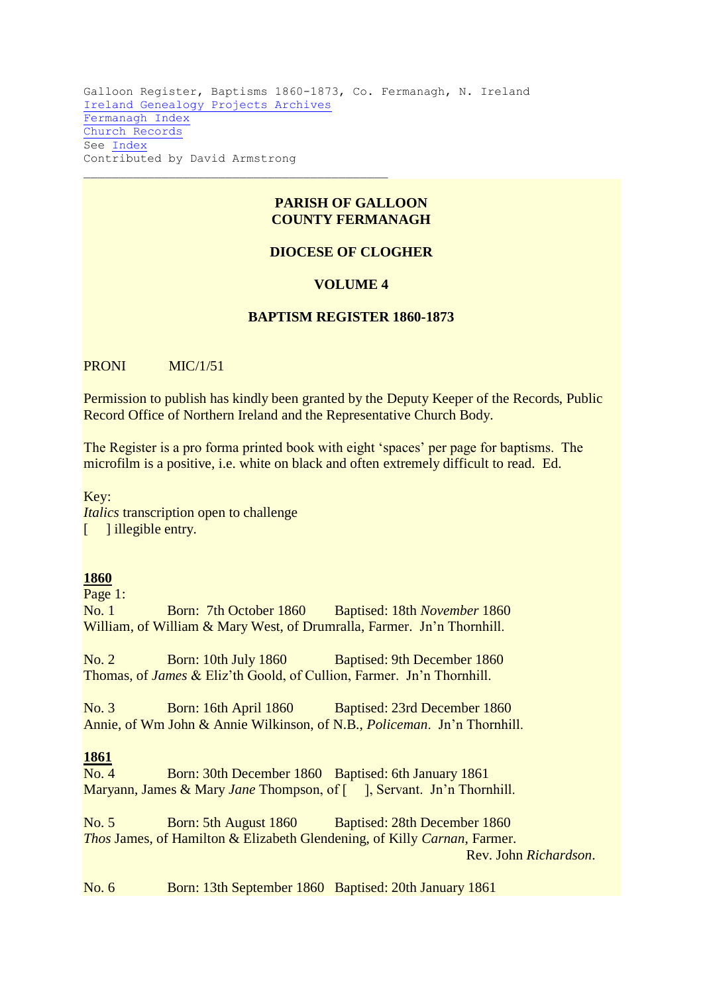Galloon Register, Baptisms 1860-1873, Co. Fermanagh, N. Ireland [Ireland Genealogy Projects Archives](http://www.igp-web.com/IGPArchives/index.htm) [Fermanagh Index](http://www.igp-web.com/IGPArchives/ire/fermanagh/index.htm) [Church Records](http://www.igp-web.com/IGPArchives/ire/fermanagh/church.htm) See [Index](http://www.igp-web.com/IGPArchives/ire/fermanagh/churches/galloon-bap-index-1860-73.htm) Contributed by David Armstrong

## **PARISH OF GALLOON COUNTY FERMANAGH**

# **DIOCESE OF CLOGHER**

#### **VOLUME 4**

### **BAPTISM REGISTER 1860-1873**

PRONI MIC/1/51

Permission to publish has kindly been granted by the Deputy Keeper of the Records, Public Record Office of Northern Ireland and the Representative Church Body.

The Register is a pro forma printed book with eight 'spaces' per page for baptisms. The microfilm is a positive, i.e. white on black and often extremely difficult to read. Ed.

Key:

*Italics* transcription open to challenge [ ] illegible entry.

#### **1860**

Page 1:

No. 1 Born: 7th October 1860 Baptised: 18th *November* 1860 William, of William & Mary West, of Drumralla, Farmer. Jn'n Thornhill.

No. 2 Born: 10th July 1860 Baptised: 9th December 1860 Thomas, of *James* & Eliz'th Goold, of Cullion, Farmer. Jn'n Thornhill.

No. 3 Born: 16th April 1860 Baptised: 23rd December 1860 Annie, of Wm John & Annie Wilkinson, of N.B., *Policeman*. Jn'n Thornhill.

## **1861**

No. 4 Born: 30th December 1860 Baptised: 6th January 1861 Maryann, James & Mary *Jane* Thompson, of [ ], Servant. Jn'n Thornhill.

No. 5 Born: 5th August 1860 Baptised: 28th December 1860 *Thos* James, of Hamilton & Elizabeth Glendening, of Killy *Carnan*, Farmer. Rev. John *Richardson*.

No. 6 Born: 13th September 1860 Baptised: 20th January 1861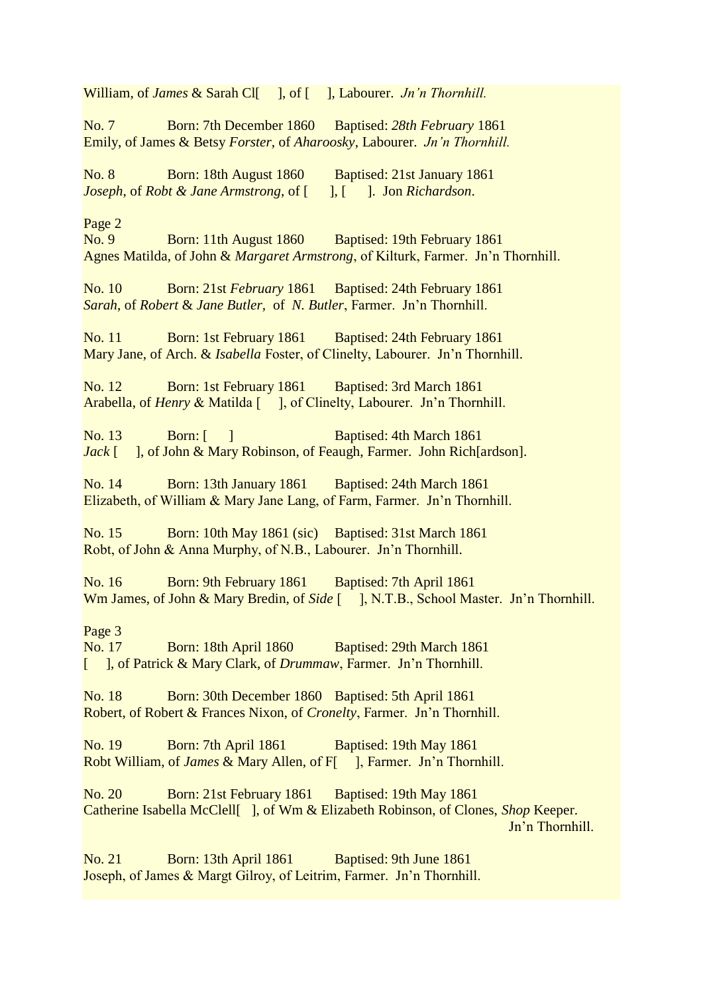William, of *James* & Sarah Cl[ ], of [ ], Labourer. *Jn'n Thornhill*.

No. 7 Born: 7th December 1860 Baptised: *28th February* 1861 Emily, of James & Betsy *Forster*, of *Aharoosky*, Labourer. *Jn'n Thornhill.*

No. 8 Born: 18th August 1860 Baptised: 21st January 1861 *Joseph*, of *Robt & Jane Armstrong*, of [ ], [ ]. Jon *Richardson*.

Page 2

No. 9 Born: 11th August 1860 Baptised: 19th February 1861 Agnes Matilda, of John & *Margaret Armstrong*, of Kilturk, Farmer. Jn'n Thornhill.

No. 10 Born: 21st *February* 1861 Baptised: 24th February 1861 *Sarah*, of *Robert* & *Jane Butler,* of *N. Butler*, Farmer. Jn'n Thornhill.

No. 11 Born: 1st February 1861 Baptised: 24th February 1861 Mary Jane, of Arch. & *Isabella* Foster, of Clinelty, Labourer. Jn'n Thornhill.

No. 12 Born: 1st February 1861 Baptised: 3rd March 1861 Arabella, of *Henry* & Matilda [ ], of Clinelty, Labourer. Jn'n Thornhill.

No. 13 Born: [ ] Baptised: 4th March 1861 *Jack* [ ], of John & Mary Robinson, of Feaugh, Farmer. John Rich[ardson].

No. 14 Born: 13th January 1861 Baptised: 24th March 1861 Elizabeth, of William & Mary Jane Lang, of Farm, Farmer. Jn'n Thornhill.

No. 15 Born: 10th May 1861 (sic) Baptised: 31st March 1861 Robt, of John & Anna Murphy, of N.B., Labourer. Jn'n Thornhill.

No. 16 Born: 9th February 1861 Baptised: 7th April 1861 Wm James, of John & Mary Bredin, of *Side* [ ], N.T.B., School Master. Jn'n Thornhill.

Page 3

No. 17 Born: 18th April 1860 Baptised: 29th March 1861 [ ], of Patrick & Mary Clark, of *Drummaw*, Farmer. Jn'n Thornhill.

No. 18 Born: 30th December 1860 Baptised: 5th April 1861 Robert, of Robert & Frances Nixon, of *Cronelty*, Farmer. Jn'n Thornhill.

No. 19 Born: 7th April 1861 Baptised: 19th May 1861 Robt William, of *James* & Mary Allen, of F[ ], Farmer. Jn'n Thornhill.

No. 20 Born: 21st February 1861 Baptised: 19th May 1861 Catherine Isabella McClell[ ], of Wm & Elizabeth Robinson, of Clones, *Shop* Keeper. Jn'n Thornhill.

No. 21 Born: 13th April 1861 Baptised: 9th June 1861 Joseph, of James & Margt Gilroy, of Leitrim, Farmer. Jn'n Thornhill.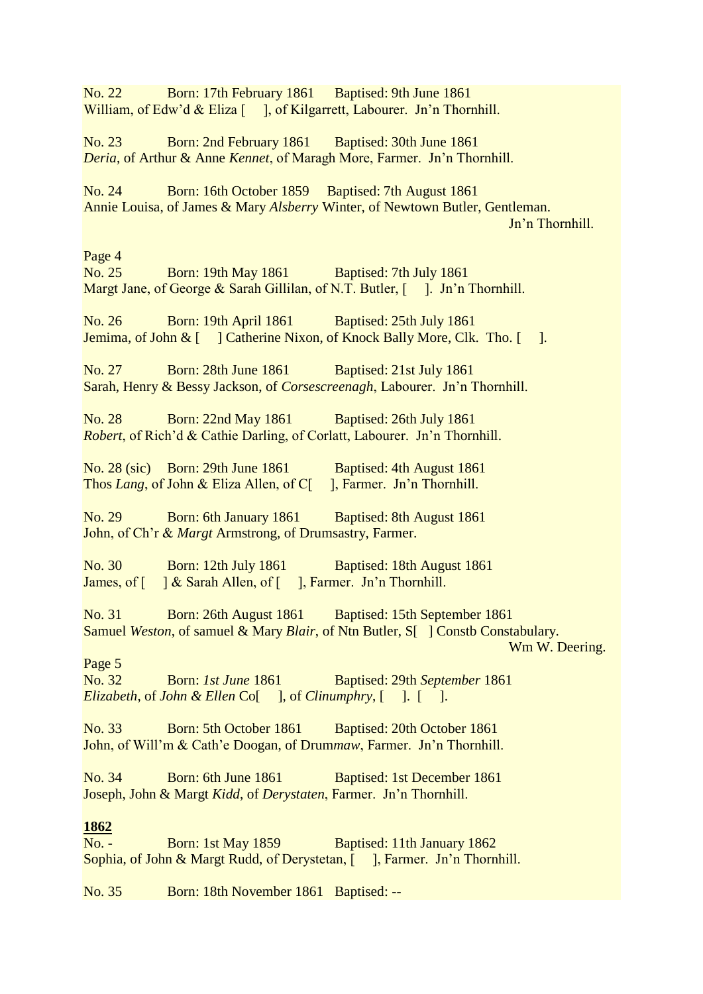No. 22 Born: 17th February 1861 Baptised: 9th June 1861 William, of Edw'd & Eliza [ ], of Kilgarrett, Labourer. Jn'n Thornhill. No. 23 Born: 2nd February 1861 Baptised: 30th June 1861 *Deria*, of Arthur & Anne *Kennet*, of Maragh More, Farmer. Jn'n Thornhill. No. 24 Born: 16th October 1859 Baptised: 7th August 1861 Annie Louisa, of James & Mary *Alsberry* Winter, of Newtown Butler, Gentleman. Jn'n Thornhill. Page 4 No. 25 Born: 19th May 1861 Baptised: 7th July 1861 Margt Jane, of George & Sarah Gillilan, of N.T. Butler, [ ]. Jn'n Thornhill. No. 26 Born: 19th April 1861 Baptised: 25th July 1861 Jemima, of John & [ ] Catherine Nixon, of Knock Bally More, Clk. Tho. [ ]. No. 27 Born: 28th June 1861 Baptised: 21st July 1861 Sarah, Henry & Bessy Jackson, of *Corsescreenagh*, Labourer. Jn'n Thornhill. No. 28 Born: 22nd May 1861 Baptised: 26th July 1861 *Robert*, of Rich'd & Cathie Darling, of Corlatt, Labourer. Jn'n Thornhill. No. 28 (sic) Born: 29th June 1861 Baptised: 4th August 1861 Thos *Lang*, of John & Eliza Allen, of C[ ], Farmer. Jn'n Thornhill. No. 29 Born: 6th January 1861 Baptised: 8th August 1861 John, of Ch'r & *Margt* Armstrong, of Drumsastry, Farmer. No. 30 Born: 12th July 1861 Baptised: 18th August 1861 James, of  $\left[ \begin{array}{c} | \\ | \end{array} \right]$  & Sarah Allen, of  $\left[ \begin{array}{c} | \\ | \end{array} \right]$ , Farmer. Jn'n Thornhill. No. 31 Born: 26th August 1861 Baptised: 15th September 1861 Samuel *Weston*, of samuel & Mary *Blair*, of Ntn Butler, S[ 1 Constb Constabulary. Wm W. Deering. Page 5 No. 32 Born: *1st June* 1861 Baptised: 29th *September* 1861 *Elizabeth*, of *John & Ellen* Co[ ], of *Clinumphry*, [ ]. [ ]. No. 33 Born: 5th October 1861 Baptised: 20th October 1861 John, of Will'm & Cath'e Doogan, of Drum*maw*, Farmer. Jn'n Thornhill. No. 34 Born: 6th June 1861 Baptised: 1st December 1861 Joseph, John & Margt *Kidd*, of *Derystaten*, Farmer. Jn'n Thornhill. **1862** No. - Born: 1st May 1859 Baptised: 11th January 1862 Sophia, of John & Margt Rudd, of Derystetan, [ ], Farmer. Jn'n Thornhill. No. 35 Born: 18th November 1861 Baptised: --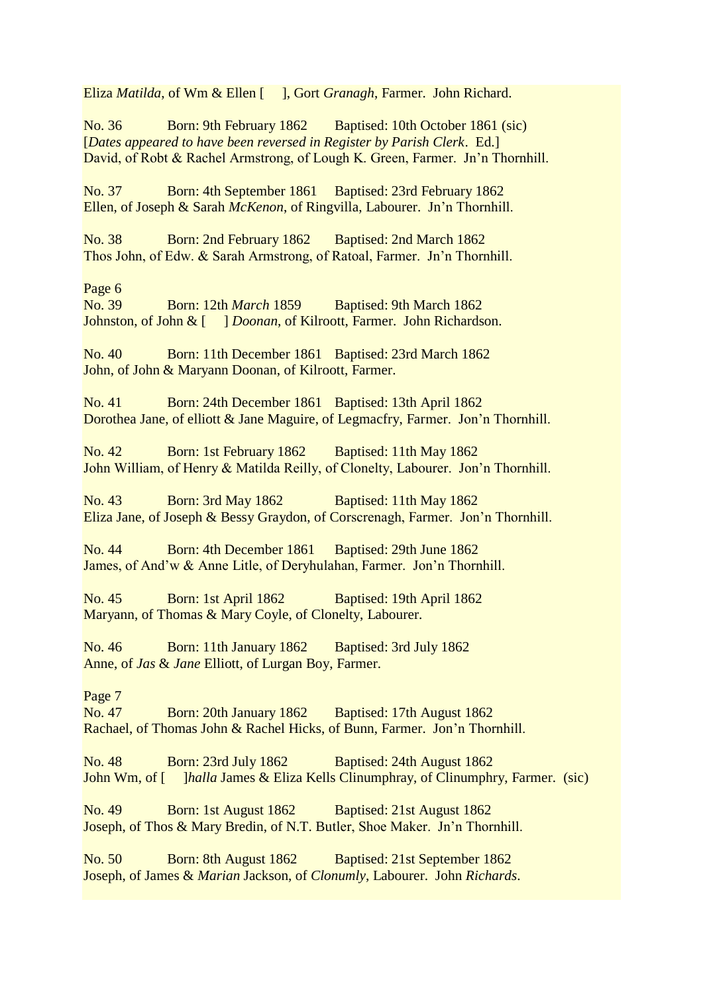Eliza *Matilda*, of Wm & Ellen [ ], Gort *Granagh*, Farmer. John Richard.

No. 36 Born: 9th February 1862 Baptised: 10th October 1861 (sic) [*Dates appeared to have been reversed in Register by Parish Clerk*. Ed.] David, of Robt & Rachel Armstrong, of Lough K. Green, Farmer. Jn'n Thornhill.

No. 37 Born: 4th September 1861 Baptised: 23rd February 1862 Ellen, of Joseph & Sarah *McKenon*, of Ringvilla, Labourer. Jn'n Thornhill.

No. 38 Born: 2nd February 1862 Baptised: 2nd March 1862 Thos John, of Edw. & Sarah Armstrong, of Ratoal, Farmer. Jn'n Thornhill.

Page 6

No. 39 Born: 12th *March* 1859 Baptised: 9th March 1862 Johnston, of John & [ ] *Doonan*, of Kilroott, Farmer. John Richardson.

No. 40 Born: 11th December 1861 Baptised: 23rd March 1862 John, of John & Maryann Doonan, of Kilroott, Farmer.

No. 41 Born: 24th December 1861 Baptised: 13th April 1862 Dorothea Jane, of elliott & Jane Maguire, of Legmacfry, Farmer. Jon'n Thornhill.

No. 42 Born: 1st February 1862 Baptised: 11th May 1862 John William, of Henry & Matilda Reilly, of Clonelty, Labourer. Jon'n Thornhill.

No. 43 Born: 3rd May 1862 Baptised: 11th May 1862 Eliza Jane, of Joseph & Bessy Graydon, of Corscrenagh, Farmer. Jon'n Thornhill.

No. 44 Born: 4th December 1861 Baptised: 29th June 1862 James, of And'w & Anne Litle, of Deryhulahan, Farmer. Jon'n Thornhill.

No. 45 Born: 1st April 1862 Baptised: 19th April 1862 Maryann, of Thomas & Mary Coyle, of Clonelty, Labourer.

No. 46 Born: 11th January 1862 Baptised: 3rd July 1862 Anne, of *Jas* & *Jane* Elliott, of Lurgan Boy, Farmer.

Page 7

No. 47 Born: 20th January 1862 Baptised: 17th August 1862 Rachael, of Thomas John & Rachel Hicks, of Bunn, Farmer. Jon'n Thornhill.

No. 48 Born: 23rd July 1862 Baptised: 24th August 1862 John Wm, of [ ]*halla* James & Eliza Kells Clinumphray, of Clinumphry, Farmer. (sic)

No. 49 Born: 1st August 1862 Baptised: 21st August 1862 Joseph, of Thos & Mary Bredin, of N.T. Butler, Shoe Maker. Jn'n Thornhill.

No. 50 Born: 8th August 1862 Baptised: 21st September 1862 Joseph, of James & *Marian* Jackson, of *Clonumly*, Labourer. John *Richards*.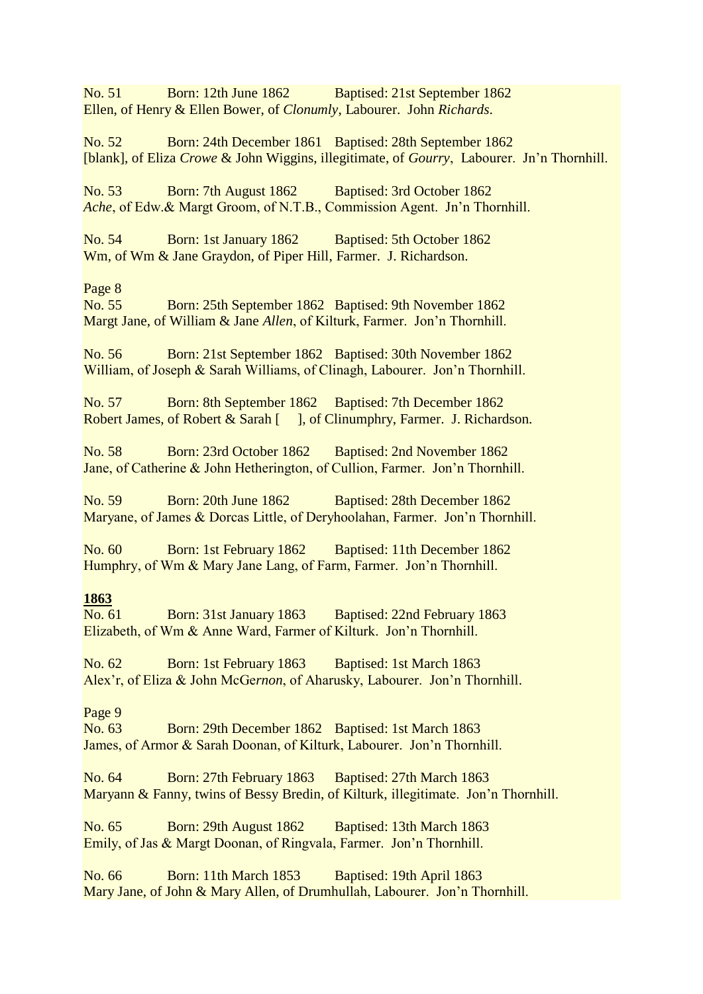No. 51 Born: 12th June 1862 Baptised: 21st September 1862 Ellen, of Henry & Ellen Bower, of *Clonumly*, Labourer. John *Richards*.

No. 52 Born: 24th December 1861 Baptised: 28th September 1862 [blank], of Eliza *Crowe* & John Wiggins, illegitimate, of *Gourry*, Labourer. Jn'n Thornhill.

No. 53 Born: 7th August 1862 Baptised: 3rd October 1862 *Ache*, of Edw.& Margt Groom, of N.T.B., Commission Agent. Jn'n Thornhill.

No. 54 Born: 1st January 1862 Baptised: 5th October 1862 Wm, of Wm & Jane Graydon, of Piper Hill, Farmer. J. Richardson.

Page 8

No. 55 Born: 25th September 1862 Baptised: 9th November 1862 Margt Jane, of William & Jane *Allen*, of Kilturk, Farmer. Jon'n Thornhill.

No. 56 Born: 21st September 1862 Baptised: 30th November 1862 William, of Joseph & Sarah Williams, of Clinagh, Labourer. Jon'n Thornhill.

No. 57 Born: 8th September 1862 Baptised: 7th December 1862 Robert James, of Robert & Sarah [ ], of Clinumphry, Farmer. J. Richardson.

No. 58 Born: 23rd October 1862 Baptised: 2nd November 1862 Jane, of Catherine & John Hetherington, of Cullion, Farmer. Jon'n Thornhill.

No. 59 Born: 20th June 1862 Baptised: 28th December 1862 Maryane, of James & Dorcas Little, of Deryhoolahan, Farmer. Jon'n Thornhill.

No. 60 Born: 1st February 1862 Baptised: 11th December 1862 Humphry, of Wm & Mary Jane Lang, of Farm, Farmer. Jon'n Thornhill.

# **1863**

No. 61 Born: 31st January 1863 Baptised: 22nd February 1863 Elizabeth, of Wm & Anne Ward, Farmer of Kilturk. Jon'n Thornhill.

No. 62 Born: 1st February 1863 Baptised: 1st March 1863 Alex'r, of Eliza & John McGe*rnon*, of Aharusky, Labourer. Jon'n Thornhill.

Page 9

No. 63 Born: 29th December 1862 Baptised: 1st March 1863 James, of Armor & Sarah Doonan, of Kilturk, Labourer. Jon'n Thornhill.

No. 64 Born: 27th February 1863 Baptised: 27th March 1863 Maryann & Fanny, twins of Bessy Bredin, of Kilturk, illegitimate. Jon'n Thornhill.

No. 65 Born: 29th August 1862 Baptised: 13th March 1863 Emily, of Jas & Margt Doonan, of Ringvala, Farmer. Jon'n Thornhill.

No. 66 Born: 11th March 1853 Baptised: 19th April 1863 Mary Jane, of John & Mary Allen, of Drumhullah, Labourer. Jon'n Thornhill.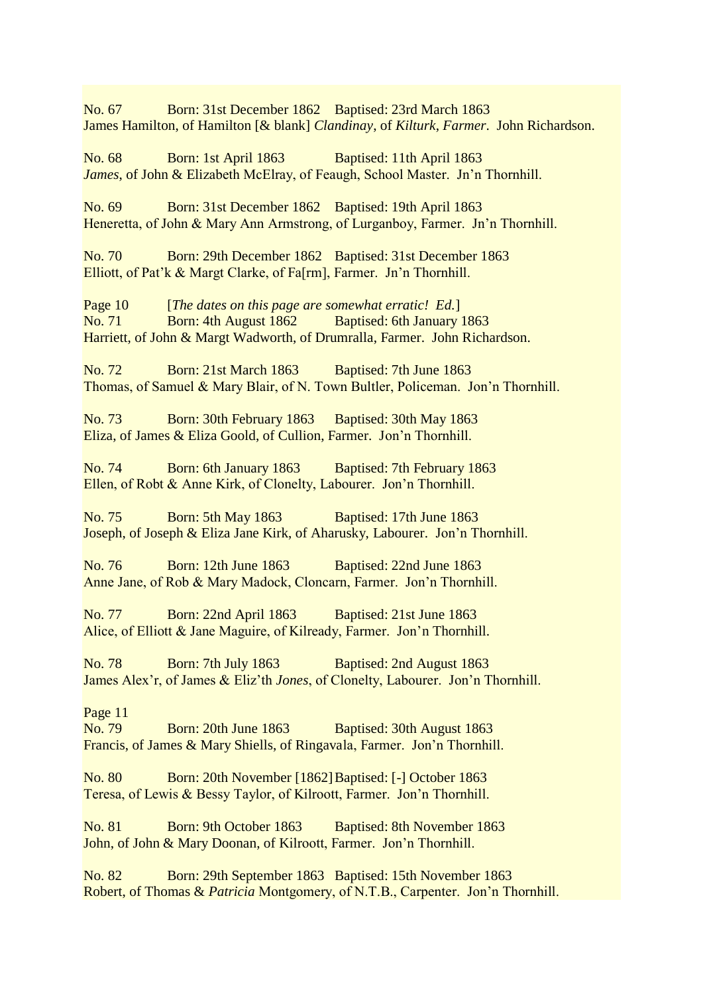No. 67 Born: 31st December 1862 Baptised: 23rd March 1863 James Hamilton, of Hamilton [& blank] *Clandinay*, of *Kilturk*, *Farmer*. John Richardson.

No. 68 Born: 1st April 1863 Baptised: 11th April 1863 *James*, of John & Elizabeth McElray, of Feaugh, School Master. Jn'n Thornhill.

No. 69 Born: 31st December 1862 Baptised: 19th April 1863 Heneretta, of John & Mary Ann Armstrong, of Lurganboy, Farmer. Jn'n Thornhill.

No. 70 Born: 29th December 1862 Baptised: 31st December 1863 Elliott, of Pat'k & Margt Clarke, of Fa[rm], Farmer. Jn'n Thornhill.

Page 10 [*The dates on this page are somewhat erratic! Ed.*] No. 71 Born: 4th August 1862 Baptised: 6th January 1863 Harriett, of John & Margt Wadworth, of Drumralla, Farmer. John Richardson.

No. 72 Born: 21st March 1863 Baptised: 7th June 1863 Thomas, of Samuel & Mary Blair, of N. Town Bultler, Policeman. Jon'n Thornhill.

No. 73 Born: 30th February 1863 Baptised: 30th May 1863 Eliza, of James & Eliza Goold, of Cullion, Farmer. Jon'n Thornhill.

No. 74 Born: 6th January 1863 Baptised: 7th February 1863 Ellen, of Robt & Anne Kirk, of Clonelty, Labourer. Jon'n Thornhill.

No. 75 Born: 5th May 1863 Baptised: 17th June 1863 Joseph, of Joseph & Eliza Jane Kirk, of Aharusky, Labourer. Jon'n Thornhill.

No. 76 Born: 12th June 1863 Baptised: 22nd June 1863 Anne Jane, of Rob & Mary Madock, Cloncarn, Farmer. Jon'n Thornhill.

No. 77 Born: 22nd April 1863 Baptised: 21st June 1863 Alice, of Elliott & Jane Maguire, of Kilready, Farmer. Jon'n Thornhill.

No. 78 Born: 7th July 1863 Baptised: 2nd August 1863 James Alex'r, of James & Eliz'th *Jones*, of Clonelty, Labourer. Jon'n Thornhill.

Page 11

No. 79 Born: 20th June 1863 Baptised: 30th August 1863 Francis, of James & Mary Shiells, of Ringavala, Farmer. Jon'n Thornhill.

No. 80 Born: 20th November [1862] Baptised: [-] October 1863 Teresa, of Lewis & Bessy Taylor, of Kilroott, Farmer. Jon'n Thornhill.

No. 81 Born: 9th October 1863 Baptised: 8th November 1863 John, of John & Mary Doonan, of Kilroott, Farmer. Jon'n Thornhill.

No. 82 Born: 29th September 1863 Baptised: 15th November 1863 Robert, of Thomas & *Patricia* Montgomery, of N.T.B., Carpenter. Jon'n Thornhill.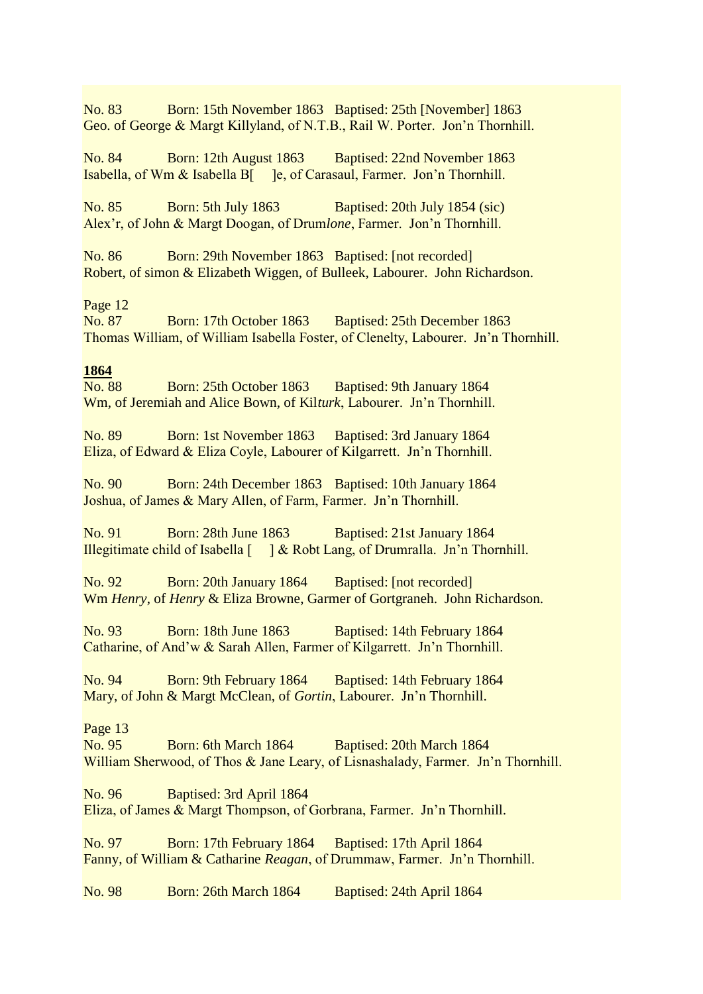No. 83 Born: 15th November 1863 Baptised: 25th [November] 1863 Geo. of George & Margt Killyland, of N.T.B., Rail W. Porter. Jon'n Thornhill.

No. 84 Born: 12th August 1863 Baptised: 22nd November 1863 Isabella, of Wm & Isabella B[ ]e, of Carasaul, Farmer. Jon'n Thornhill.

No. 85 Born: 5th July 1863 Baptised: 20th July 1854 (sic) Alex'r, of John & Margt Doogan, of Drum*lone*, Farmer. Jon'n Thornhill.

No. 86 Born: 29th November 1863 Baptised: [not recorded] Robert, of simon & Elizabeth Wiggen, of Bulleek, Labourer. John Richardson.

# Page 12<br>No. 87

Born: 17th October 1863 Baptised: 25th December 1863 Thomas William, of William Isabella Foster, of Clenelty, Labourer. Jn'n Thornhill.

#### **1864**

No. 88 Born: 25th October 1863 Baptised: 9th January 1864 Wm, of Jeremiah and Alice Bown, of Kil*turk*, Labourer. Jn'n Thornhill.

No. 89 Born: 1st November 1863 Baptised: 3rd January 1864 Eliza, of Edward & Eliza Coyle, Labourer of Kilgarrett. Jn'n Thornhill.

No. 90 Born: 24th December 1863 Baptised: 10th January 1864 Joshua, of James & Mary Allen, of Farm, Farmer. Jn'n Thornhill.

No. 91 Born: 28th June 1863 Baptised: 21st January 1864 Illegitimate child of Isabella [ ] & Robt Lang, of Drumralla. Jn'n Thornhill.

No. 92 Born: 20th January 1864 Baptised: [not recorded] Wm *Henry*, of *Henry* & Eliza Browne, Garmer of Gortgraneh. John Richardson.

No. 93 Born: 18th June 1863 Baptised: 14th February 1864 Catharine, of And'w & Sarah Allen, Farmer of Kilgarrett. Jn'n Thornhill.

No. 94 Born: 9th February 1864 Baptised: 14th February 1864 Mary, of John & Margt McClean, of *Gortin*, Labourer. Jn'n Thornhill.

## Page 13

No. 95 Born: 6th March 1864 Baptised: 20th March 1864 William Sherwood, of Thos & Jane Leary, of Lisnashalady, Farmer. Jn'n Thornhill.

No. 96 Baptised: 3rd April 1864

Eliza, of James & Margt Thompson, of Gorbrana, Farmer. Jn'n Thornhill.

No. 97 Born: 17th February 1864 Baptised: 17th April 1864 Fanny, of William & Catharine *Reagan*, of Drummaw, Farmer. Jn'n Thornhill.

No. 98 Born: 26th March 1864 Baptised: 24th April 1864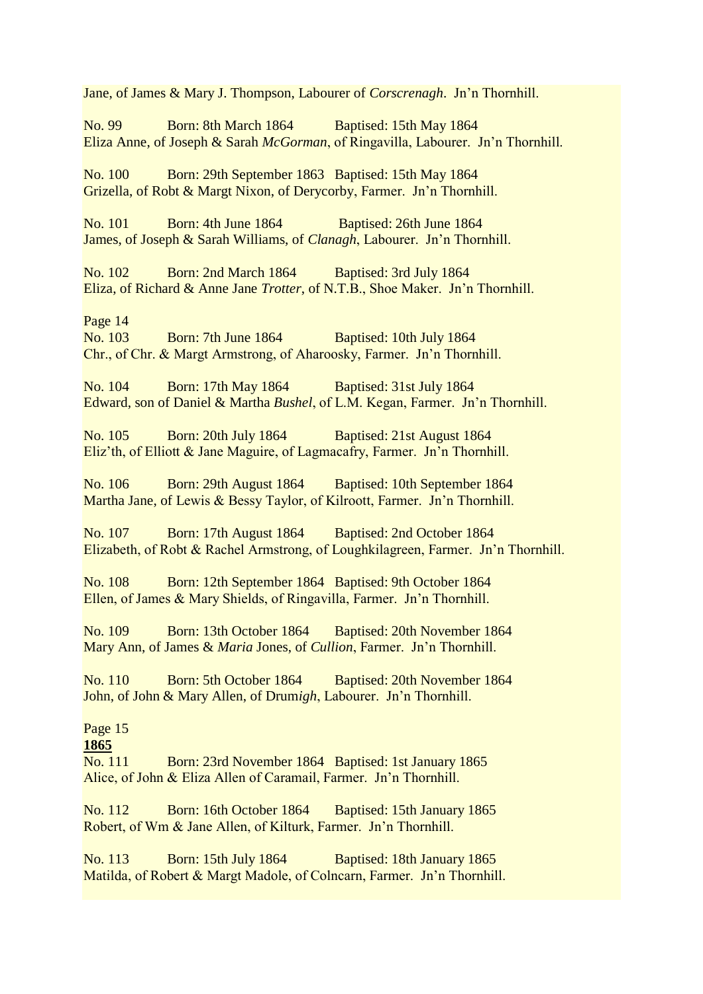Jane, of James & Mary J. Thompson, Labourer of *Corscrenagh*. Jn'n Thornhill.

No. 99 Born: 8th March 1864 Baptised: 15th May 1864 Eliza Anne, of Joseph & Sarah *McGorman*, of Ringavilla, Labourer. Jn'n Thornhill.

No. 100 Born: 29th September 1863 Baptised: 15th May 1864 Grizella, of Robt & Margt Nixon, of Derycorby, Farmer. Jn'n Thornhill.

No. 101 Born: 4th June 1864 Baptised: 26th June 1864 James, of Joseph & Sarah Williams, of *Clanagh*, Labourer. Jn'n Thornhill.

No. 102 Born: 2nd March 1864 Baptised: 3rd July 1864 Eliza, of Richard & Anne Jane *Trotter*, of N.T.B., Shoe Maker. Jn'n Thornhill.

Page 14

No. 103 Born: 7th June 1864 Baptised: 10th July 1864 Chr., of Chr. & Margt Armstrong, of Aharoosky, Farmer. Jn'n Thornhill.

No. 104 Born: 17th May 1864 Baptised: 31st July 1864 Edward, son of Daniel & Martha *Bushel*, of L.M. Kegan, Farmer. Jn'n Thornhill.

No. 105 Born: 20th July 1864 Baptised: 21st August 1864 Eliz'th, of Elliott & Jane Maguire, of Lagmacafry, Farmer. Jn'n Thornhill.

No. 106 Born: 29th August 1864 Baptised: 10th September 1864 Martha Jane, of Lewis & Bessy Taylor, of Kilroott, Farmer. Jn'n Thornhill.

No. 107 Born: 17th August 1864 Baptised: 2nd October 1864 Elizabeth, of Robt & Rachel Armstrong, of Loughkilagreen, Farmer. Jn'n Thornhill.

No. 108 Born: 12th September 1864 Baptised: 9th October 1864 Ellen, of James & Mary Shields, of Ringavilla, Farmer. Jn'n Thornhill.

No. 109 Born: 13th October 1864 Baptised: 20th November 1864 Mary Ann, of James & *Maria* Jones, of *Cullion*, Farmer. Jn'n Thornhill.

No. 110 Born: 5th October 1864 Baptised: 20th November 1864 John, of John & Mary Allen, of Drum*igh*, Labourer. Jn'n Thornhill.

# Page 15

**1865**

No. 111 Born: 23rd November 1864 Baptised: 1st January 1865 Alice, of John & Eliza Allen of Caramail, Farmer. Jn'n Thornhill.

No. 112 Born: 16th October 1864 Baptised: 15th January 1865 Robert, of Wm & Jane Allen, of Kilturk, Farmer. Jn'n Thornhill.

No. 113 Born: 15th July 1864 Baptised: 18th January 1865 Matilda, of Robert & Margt Madole, of Colncarn, Farmer. Jn'n Thornhill.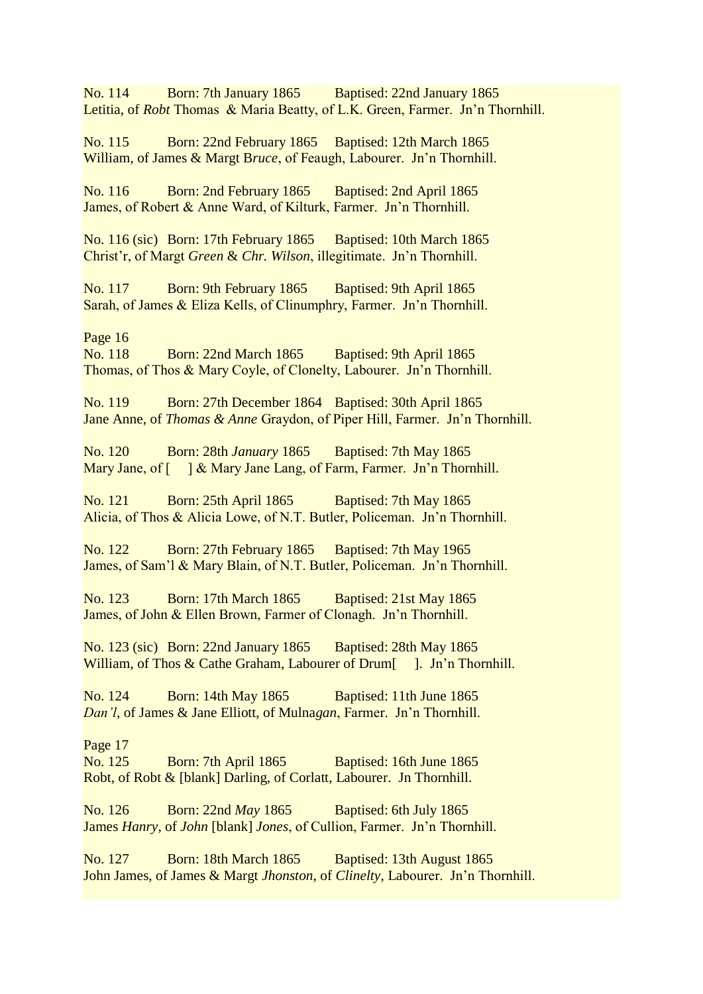No. 114 Born: 7th January 1865 Baptised: 22nd January 1865 Letitia, of *Robt* Thomas & Maria Beatty, of L.K. Green, Farmer. Jn'n Thornhill.

No. 115 Born: 22nd February 1865 Baptised: 12th March 1865 William, of James & Margt B*ruce*, of Feaugh, Labourer. Jn'n Thornhill.

No. 116 Born: 2nd February 1865 Baptised: 2nd April 1865 James, of Robert & Anne Ward, of Kilturk, Farmer. Jn'n Thornhill.

No. 116 (sic) Born: 17th February 1865 Baptised: 10th March 1865 Christ'r, of Margt *Green* & *Chr. Wilson*, illegitimate. Jn'n Thornhill.

No. 117 Born: 9th February 1865 Baptised: 9th April 1865 Sarah, of James & Eliza Kells, of Clinumphry, Farmer. Jn'n Thornhill.

Page 16

No. 118 Born: 22nd March 1865 Baptised: 9th April 1865 Thomas, of Thos & Mary Coyle, of Clonelty, Labourer. Jn'n Thornhill.

No. 119 Born: 27th December 1864 Baptised: 30th April 1865 Jane Anne, of *Thomas & Anne* Graydon, of Piper Hill, Farmer. Jn'n Thornhill.

No. 120 Born: 28th *January* 1865 Baptised: 7th May 1865 Mary Jane, of  $\left[ \begin{array}{c} \end{array} \right]$  & Mary Jane Lang, of Farm, Farmer. Jn'n Thornhill.

No. 121 Born: 25th April 1865 Baptised: 7th May 1865 Alicia, of Thos & Alicia Lowe, of N.T. Butler, Policeman. Jn'n Thornhill.

No. 122 Born: 27th February 1865 Baptised: 7th May 1965 James, of Sam'l & Mary Blain, of N.T. Butler, Policeman. Jn'n Thornhill.

No. 123 Born: 17th March 1865 Baptised: 21st May 1865 James, of John & Ellen Brown, Farmer of Clonagh. Jn'n Thornhill.

No. 123 (sic) Born: 22nd January 1865 Baptised: 28th May 1865 William, of Thos & Cathe Graham, Labourer of Drum<sup>[1]</sup>. Jn'n Thornhill.

No. 124 Born: 14th May 1865 Baptised: 11th June 1865 *Dan'l*, of James & Jane Elliott, of Mulna*gan*, Farmer. Jn'n Thornhill.

Page 17

No. 125 Born: 7th April 1865 Baptised: 16th June 1865 Robt, of Robt & [blank] Darling, of Corlatt, Labourer. Jn Thornhill.

No. 126 Born: 22nd *May* 1865 Baptised: 6th July 1865 James *Hanry*, of *John* [blank] *Jones*, of Cullion, Farmer. Jn'n Thornhill.

No. 127 Born: 18th March 1865 Baptised: 13th August 1865 John James, of James & Margt *Jhonston*, of *Clinelty*, Labourer. Jn'n Thornhill.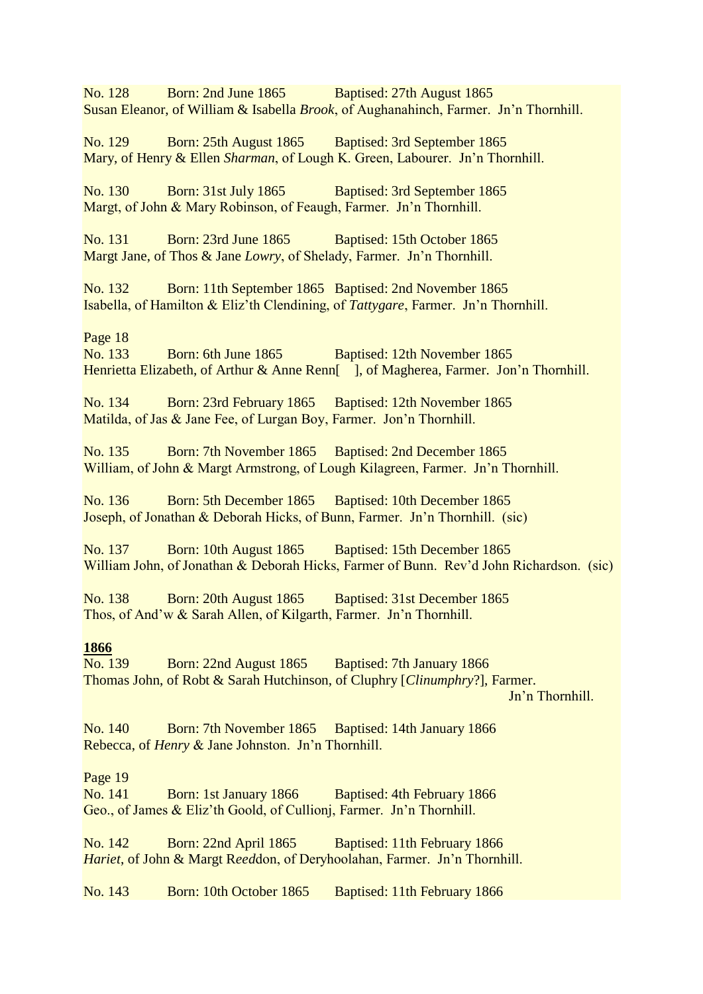No. 128 Born: 2nd June 1865 Baptised: 27th August 1865 Susan Eleanor, of William & Isabella *Brook*, of Aughanahinch, Farmer. Jn'n Thornhill.

No. 129 Born: 25th August 1865 Baptised: 3rd September 1865 Mary, of Henry & Ellen *Sharman*, of Lough K. Green, Labourer. Jn'n Thornhill.

No. 130 Born: 31st July 1865 Baptised: 3rd September 1865 Margt, of John & Mary Robinson, of Feaugh, Farmer. Jn'n Thornhill.

No. 131 Born: 23rd June 1865 Baptised: 15th October 1865 Margt Jane, of Thos & Jane *Lowry*, of Shelady, Farmer. Jn'n Thornhill.

No. 132 Born: 11th September 1865 Baptised: 2nd November 1865 Isabella, of Hamilton & Eliz'th Clendining, of *Tattygare*, Farmer. Jn'n Thornhill.

Page 18

No. 133 Born: 6th June 1865 Baptised: 12th November 1865 Henrietta Elizabeth, of Arthur & Anne Renn<sup>[1]</sup>, of Magherea, Farmer. Jon'n Thornhill.

No. 134 Born: 23rd February 1865 Baptised: 12th November 1865 Matilda, of Jas & Jane Fee, of Lurgan Boy, Farmer. Jon'n Thornhill.

No. 135 Born: 7th November 1865 Baptised: 2nd December 1865 William, of John & Margt Armstrong, of Lough Kilagreen, Farmer. Jn'n Thornhill.

No. 136 Born: 5th December 1865 Baptised: 10th December 1865 Joseph, of Jonathan & Deborah Hicks, of Bunn, Farmer. Jn'n Thornhill. (sic)

No. 137 Born: 10th August 1865 Baptised: 15th December 1865 William John, of Jonathan & Deborah Hicks, Farmer of Bunn. Rev'd John Richardson. (sic)

No. 138 Born: 20th August 1865 Baptised: 31st December 1865 Thos, of And'w & Sarah Allen, of Kilgarth, Farmer. Jn'n Thornhill.

#### **1866**

No. 139 Born: 22nd August 1865 Baptised: 7th January 1866 Thomas John, of Robt & Sarah Hutchinson, of Cluphry [*Clinumphry*?], Farmer. Jn'n Thornhill.

No. 140 Born: 7th November 1865 Baptised: 14th January 1866 Rebecca, of *Henry* & Jane Johnston. Jn'n Thornhill.

#### Page 19

No. 141 Born: 1st January 1866 Baptised: 4th February 1866 Geo., of James & Eliz'th Goold, of Cullionj, Farmer. Jn'n Thornhill.

No. 142 Born: 22nd April 1865 Baptised: 11th February 1866 *Hariet*, of John & Margt R*eed*don, of Deryhoolahan, Farmer. Jn'n Thornhill.

No. 143 Born: 10th October 1865 Baptised: 11th February 1866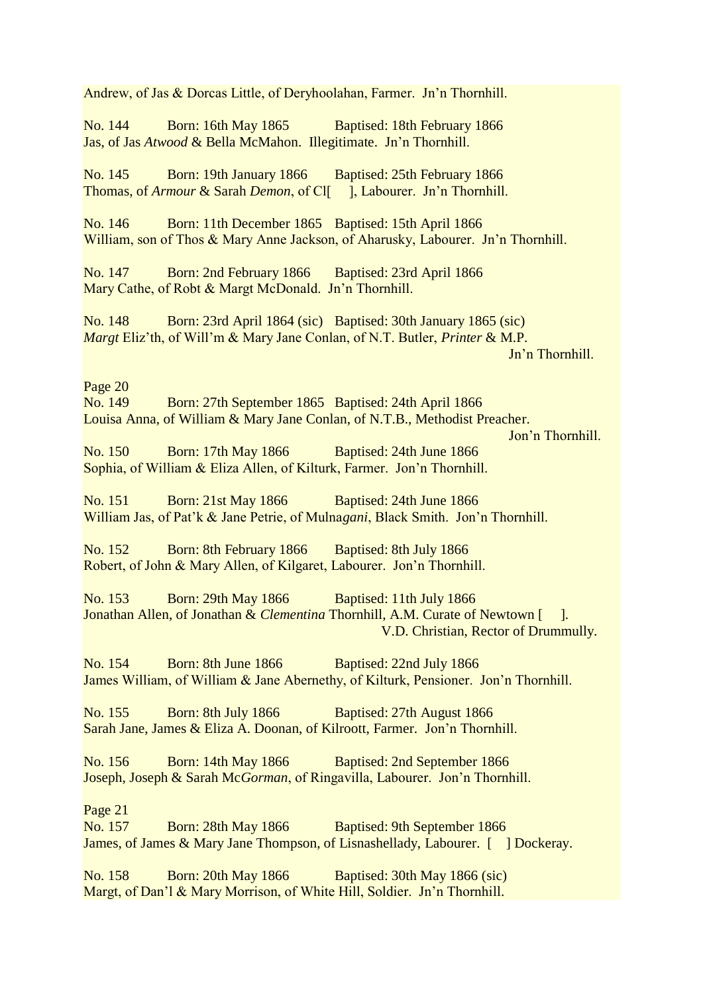Andrew, of Jas & Dorcas Little, of Deryhoolahan, Farmer. Jn'n Thornhill. No. 144 Born: 16th May 1865 Baptised: 18th February 1866 Jas, of Jas *Atwood* & Bella McMahon. Illegitimate. Jn'n Thornhill. No. 145 Born: 19th January 1866 Baptised: 25th February 1866 Thomas, of *Armour* & Sarah *Demon*, of Cl[ ], Labourer. Jn'n Thornhill. No. 146 Born: 11th December 1865 Baptised: 15th April 1866 William, son of Thos & Mary Anne Jackson, of Aharusky, Labourer. Jn'n Thornhill. No. 147 Born: 2nd February 1866 Baptised: 23rd April 1866 Mary Cathe, of Robt & Margt McDonald. Jn'n Thornhill. No. 148 Born: 23rd April 1864 (sic) Baptised: 30th January 1865 (sic) *Margt* Eliz'th, of Will'm & Mary Jane Conlan, of N.T. Butler, *Printer* & M.P. Jn'n Thornhill. Page 20 No. 149 Born: 27th September 1865 Baptised: 24th April 1866 Louisa Anna, of William & Mary Jane Conlan, of N.T.B., Methodist Preacher. Jon'n Thornhill. No. 150 Born: 17th May 1866 Baptised: 24th June 1866 Sophia, of William & Eliza Allen, of Kilturk, Farmer. Jon'n Thornhill. No. 151 Born: 21st May 1866 Baptised: 24th June 1866 William Jas, of Pat'k & Jane Petrie, of Mulna*gani*, Black Smith. Jon'n Thornhill. No. 152 Born: 8th February 1866 Baptised: 8th July 1866 Robert, of John & Mary Allen, of Kilgaret, Labourer. Jon'n Thornhill. No. 153 Born: 29th May 1866 Baptised: 11th July 1866 Jonathan Allen, of Jonathan & *Clementina* Thornhill, A.M. Curate of Newtown [ ]. V.D. Christian, Rector of Drummully. No. 154 Born: 8th June 1866 Baptised: 22nd July 1866 James William, of William & Jane Abernethy, of Kilturk, Pensioner. Jon'n Thornhill. No. 155 Born: 8th July 1866 Baptised: 27th August 1866 Sarah Jane, James & Eliza A. Doonan, of Kilroott, Farmer. Jon'n Thornhill. No. 156 Born: 14th May 1866 Baptised: 2nd September 1866 Joseph, Joseph & Sarah Mc*Gorman*, of Ringavilla, Labourer. Jon'n Thornhill. Page 21 No. 157 Born: 28th May 1866 Baptised: 9th September 1866 James, of James & Mary Jane Thompson, of Lisnashellady, Labourer. [ ] Dockeray. No. 158 Born: 20th May 1866 Baptised: 30th May 1866 (sic) Margt, of Dan'l & Mary Morrison, of White Hill, Soldier. Jn'n Thornhill.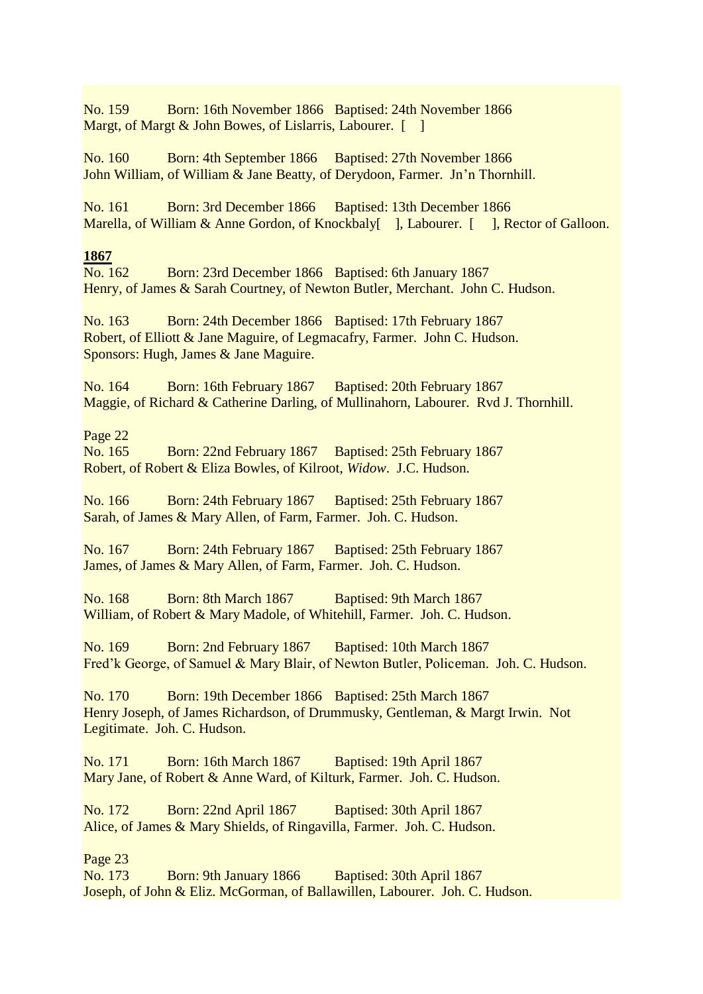No. 159 Born: 16th November 1866 Baptised: 24th November 1866 Margt, of Margt & John Bowes, of Lislarris, Labourer. [ ]

No. 160 Born: 4th September 1866 Baptised: 27th November 1866 John William, of William & Jane Beatty, of Derydoon, Farmer. Jn'n Thornhill.

No. 161 Born: 3rd December 1866 Baptised: 13th December 1866 Marella, of William & Anne Gordon, of Knockbaly<sup>[</sup> ], Labourer. [ ], Rector of Galloon.

#### **1867**

No. 162 Born: 23rd December 1866 Baptised: 6th January 1867 Henry, of James & Sarah Courtney, of Newton Butler, Merchant. John C. Hudson.

No. 163 Born: 24th December 1866 Baptised: 17th February 1867 Robert, of Elliott & Jane Maguire, of Legmacafry, Farmer. John C. Hudson. Sponsors: Hugh, James & Jane Maguire.

No. 164 Born: 16th February 1867 Baptised: 20th February 1867 Maggie, of Richard & Catherine Darling, of Mullinahorn, Labourer. Rvd J. Thornhill.

Page 22

No. 165 Born: 22nd February 1867 Baptised: 25th February 1867 Robert, of Robert & Eliza Bowles, of Kilroot, *Widow*. J.C. Hudson.

No. 166 Born: 24th February 1867 Baptised: 25th February 1867 Sarah, of James & Mary Allen, of Farm, Farmer. Joh. C. Hudson.

No. 167 Born: 24th February 1867 Baptised: 25th February 1867 James, of James & Mary Allen, of Farm, Farmer. Joh. C. Hudson.

No. 168 Born: 8th March 1867 Baptised: 9th March 1867 William, of Robert & Mary Madole, of Whitehill, Farmer. Joh. C. Hudson.

No. 169 Born: 2nd February 1867 Baptised: 10th March 1867 Fred'k George, of Samuel & Mary Blair, of Newton Butler, Policeman. Joh. C. Hudson.

No. 170 Born: 19th December 1866 Baptised: 25th March 1867 Henry Joseph, of James Richardson, of Drummusky, Gentleman, & Margt Irwin. Not Legitimate. Joh. C. Hudson.

No. 171 Born: 16th March 1867 Baptised: 19th April 1867 Mary Jane, of Robert & Anne Ward, of Kilturk, Farmer. Joh. C. Hudson.

No. 172 Born: 22nd April 1867 Baptised: 30th April 1867 Alice, of James & Mary Shields, of Ringavilla, Farmer. Joh. C. Hudson.

Page 23

No. 173 Born: 9th January 1866 Baptised: 30th April 1867 Joseph, of John & Eliz. McGorman, of Ballawillen, Labourer. Joh. C. Hudson.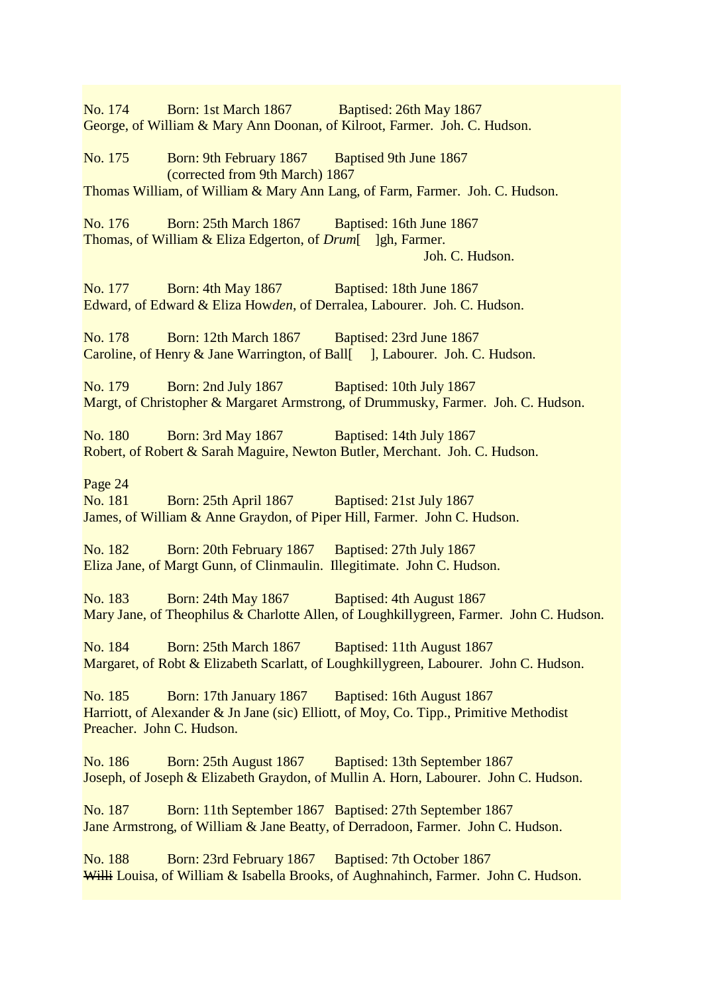No. 174 Born: 1st March 1867 Baptised: 26th May 1867 George, of William & Mary Ann Doonan, of Kilroot, Farmer. Joh. C. Hudson. No. 175 Born: 9th February 1867 Baptised 9th June 1867 (corrected from 9th March) 1867 Thomas William, of William & Mary Ann Lang, of Farm, Farmer. Joh. C. Hudson. No. 176 Born: 25th March 1867 Baptised: 16th June 1867 Thomas, of William & Eliza Edgerton, of *Drum*[ ]gh, Farmer. Joh. C. Hudson. No. 177 Born: 4th May 1867 Baptised: 18th June 1867 Edward, of Edward & Eliza How*den*, of Derralea, Labourer. Joh. C. Hudson. No. 178 Born: 12th March 1867 Baptised: 23rd June 1867 Caroline, of Henry & Jane Warrington, of Ball[ ], Labourer. Joh. C. Hudson. No. 179 Born: 2nd July 1867 Baptised: 10th July 1867 Margt, of Christopher & Margaret Armstrong, of Drummusky, Farmer. Joh. C. Hudson. No. 180 Born: 3rd May 1867 Baptised: 14th July 1867 Robert, of Robert & Sarah Maguire, Newton Butler, Merchant. Joh. C. Hudson. Page 24 No. 181 Born: 25th April 1867 Baptised: 21st July 1867 James, of William & Anne Graydon, of Piper Hill, Farmer. John C. Hudson. No. 182 Born: 20th February 1867 Baptised: 27th July 1867 Eliza Jane, of Margt Gunn, of Clinmaulin. Illegitimate. John C. Hudson. No. 183 Born: 24th May 1867 Baptised: 4th August 1867 Mary Jane, of Theophilus & Charlotte Allen, of Loughkillygreen, Farmer. John C. Hudson. No. 184 Born: 25th March 1867 Baptised: 11th August 1867 Margaret, of Robt & Elizabeth Scarlatt, of Loughkillygreen, Labourer. John C. Hudson. No. 185 Born: 17th January 1867 Baptised: 16th August 1867 Harriott, of Alexander & Jn Jane (sic) Elliott, of Moy, Co. Tipp., Primitive Methodist Preacher. John C. Hudson. No. 186 Born: 25th August 1867 Baptised: 13th September 1867 Joseph, of Joseph & Elizabeth Graydon, of Mullin A. Horn, Labourer. John C. Hudson. No. 187 Born: 11th September 1867 Baptised: 27th September 1867 Jane Armstrong, of William & Jane Beatty, of Derradoon, Farmer. John C. Hudson. No. 188 Born: 23rd February 1867 Baptised: 7th October 1867 Willi Louisa, of William & Isabella Brooks, of Aughnahinch, Farmer. John C. Hudson.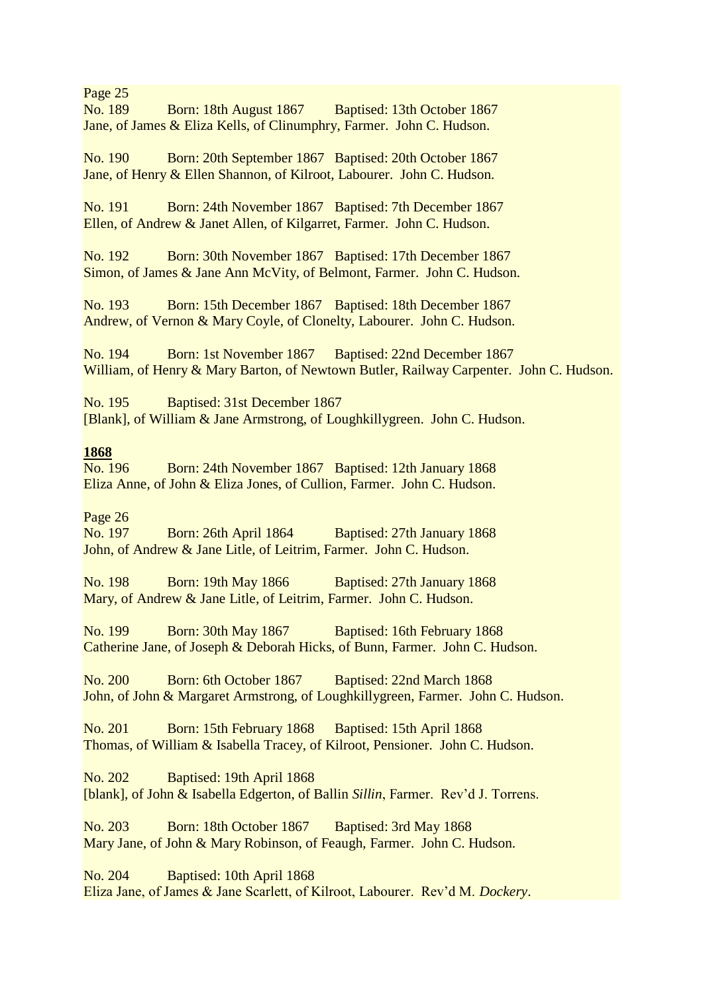Page 25

No. 189 Born: 18th August 1867 Baptised: 13th October 1867 Jane, of James & Eliza Kells, of Clinumphry, Farmer. John C. Hudson.

No. 190 Born: 20th September 1867 Baptised: 20th October 1867 Jane, of Henry & Ellen Shannon, of Kilroot, Labourer. John C. Hudson.

No. 191 Born: 24th November 1867 Baptised: 7th December 1867 Ellen, of Andrew & Janet Allen, of Kilgarret, Farmer. John C. Hudson.

No. 192 Born: 30th November 1867 Baptised: 17th December 1867 Simon, of James & Jane Ann McVity, of Belmont, Farmer. John C. Hudson.

No. 193 Born: 15th December 1867 Baptised: 18th December 1867 Andrew, of Vernon & Mary Coyle, of Clonelty, Labourer. John C. Hudson.

No. 194 Born: 1st November 1867 Baptised: 22nd December 1867 William, of Henry & Mary Barton, of Newtown Butler, Railway Carpenter. John C. Hudson.

No. 195 Baptised: 31st December 1867 [Blank], of William & Jane Armstrong, of Loughkillygreen. John C. Hudson.

## **1868**

No. 196 Born: 24th November 1867 Baptised: 12th January 1868 Eliza Anne, of John & Eliza Jones, of Cullion, Farmer. John C. Hudson.

## Page 26

No. 197 Born: 26th April 1864 Baptised: 27th January 1868 John, of Andrew & Jane Litle, of Leitrim, Farmer. John C. Hudson.

No. 198 Born: 19th May 1866 Baptised: 27th January 1868 Mary, of Andrew & Jane Litle, of Leitrim, Farmer. John C. Hudson.

No. 199 Born: 30th May 1867 Baptised: 16th February 1868 Catherine Jane, of Joseph & Deborah Hicks, of Bunn, Farmer. John C. Hudson.

No. 200 Born: 6th October 1867 Baptised: 22nd March 1868 John, of John & Margaret Armstrong, of Loughkillygreen, Farmer. John C. Hudson.

No. 201 Born: 15th February 1868 Baptised: 15th April 1868 Thomas, of William & Isabella Tracey, of Kilroot, Pensioner. John C. Hudson.

No. 202 Baptised: 19th April 1868 [blank], of John & Isabella Edgerton, of Ballin *Sillin*, Farmer. Rev'd J. Torrens.

No. 203 Born: 18th October 1867 Baptised: 3rd May 1868 Mary Jane, of John & Mary Robinson, of Feaugh, Farmer. John C. Hudson.

No. 204 Baptised: 10th April 1868 Eliza Jane, of James & Jane Scarlett, of Kilroot, Labourer. Rev'd M. *Dockery*.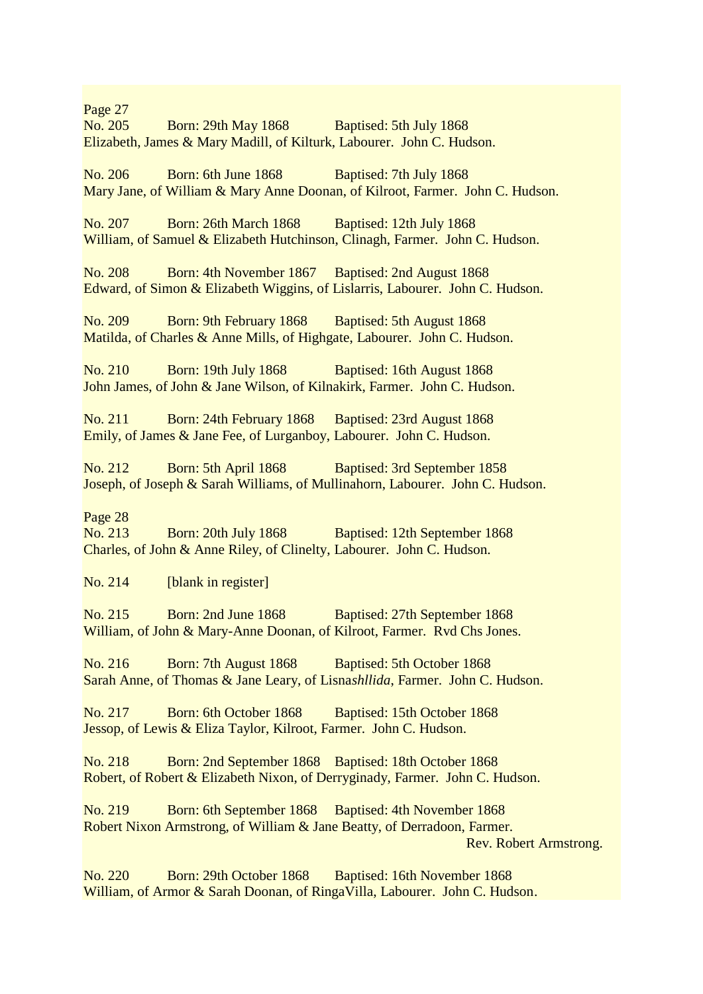Page 27 No. 205 Born: 29th May 1868 Baptised: 5th July 1868 Elizabeth, James & Mary Madill, of Kilturk, Labourer. John C. Hudson.

No. 206 Born: 6th June 1868 Baptised: 7th July 1868 Mary Jane, of William & Mary Anne Doonan, of Kilroot, Farmer. John C. Hudson.

No. 207 Born: 26th March 1868 Baptised: 12th July 1868 William, of Samuel & Elizabeth Hutchinson, Clinagh, Farmer. John C. Hudson.

No. 208 Born: 4th November 1867 Baptised: 2nd August 1868 Edward, of Simon & Elizabeth Wiggins, of Lislarris, Labourer. John C. Hudson.

No. 209 Born: 9th February 1868 Baptised: 5th August 1868 Matilda, of Charles & Anne Mills, of Highgate, Labourer. John C. Hudson.

No. 210 Born: 19th July 1868 Baptised: 16th August 1868 John James, of John & Jane Wilson, of Kilnakirk, Farmer. John C. Hudson.

No. 211 Born: 24th February 1868 Baptised: 23rd August 1868 Emily, of James & Jane Fee, of Lurganboy, Labourer. John C. Hudson.

No. 212 Born: 5th April 1868 Baptised: 3rd September 1858 Joseph, of Joseph & Sarah Williams, of Mullinahorn, Labourer. John C. Hudson.

#### Page 28

No. 213 Born: 20th July 1868 Baptised: 12th September 1868 Charles, of John & Anne Riley, of Clinelty, Labourer. John C. Hudson.

No. 214 [blank in register]

No. 215 Born: 2nd June 1868 Baptised: 27th September 1868 William, of John & Mary-Anne Doonan, of Kilroot, Farmer. Rvd Chs Jones.

No. 216 Born: 7th August 1868 Baptised: 5th October 1868 Sarah Anne, of Thomas & Jane Leary, of Lisna*shllida*, Farmer. John C. Hudson.

No. 217 Born: 6th October 1868 Baptised: 15th October 1868 Jessop, of Lewis & Eliza Taylor, Kilroot, Farmer. John C. Hudson.

No. 218 Born: 2nd September 1868 Baptised: 18th October 1868 Robert, of Robert & Elizabeth Nixon, of Derryginady, Farmer. John C. Hudson.

No. 219 Born: 6th September 1868 Baptised: 4th November 1868 Robert Nixon Armstrong, of William & Jane Beatty, of Derradoon, Farmer. Rev. Robert Armstrong.

No. 220 Born: 29th October 1868 Baptised: 16th November 1868 William, of Armor & Sarah Doonan, of RingaVilla, Labourer. John C. Hudson.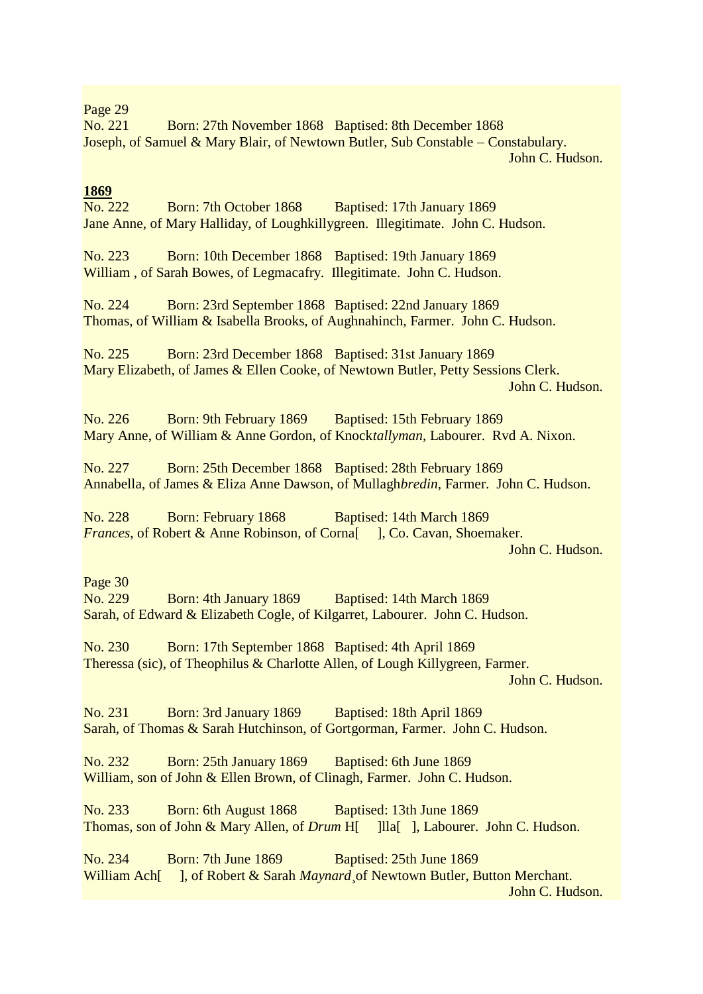## Page 29

No. 221 Born: 27th November 1868 Baptised: 8th December 1868 Joseph, of Samuel & Mary Blair, of Newtown Butler, Sub Constable – Constabulary. John C. Hudson.

## **1869**

No. 222 Born: 7th October 1868 Baptised: 17th January 1869 Jane Anne, of Mary Halliday, of Loughkillygreen. Illegitimate. John C. Hudson.

No. 223 Born: 10th December 1868 Baptised: 19th January 1869 William , of Sarah Bowes, of Legmacafry. Illegitimate. John C. Hudson.

No. 224 Born: 23rd September 1868 Baptised: 22nd January 1869 Thomas, of William & Isabella Brooks, of Aughnahinch, Farmer. John C. Hudson.

No. 225 Born: 23rd December 1868 Baptised: 31st January 1869 Mary Elizabeth, of James & Ellen Cooke, of Newtown Butler, Petty Sessions Clerk. John C. Hudson.

No. 226 Born: 9th February 1869 Baptised: 15th February 1869 Mary Anne, of William & Anne Gordon, of Knock*tallyman*, Labourer. Rvd A. Nixon.

No. 227 Born: 25th December 1868 Baptised: 28th February 1869 Annabella, of James & Eliza Anne Dawson, of Mullagh*bredin*, Farmer. John C. Hudson.

No. 228 Born: February 1868 Baptised: 14th March 1869 *Frances*, of Robert & Anne Robinson, of Corna<sup>[1]</sup>, Co. Cavan, Shoemaker. John C. Hudson.

Page 30

No. 229 Born: 4th January 1869 Baptised: 14th March 1869 Sarah, of Edward & Elizabeth Cogle, of Kilgarret, Labourer. John C. Hudson.

No. 230 Born: 17th September 1868 Baptised: 4th April 1869 Theressa (sic), of Theophilus & Charlotte Allen, of Lough Killygreen, Farmer. John C. Hudson.

No. 231 Born: 3rd January 1869 Baptised: 18th April 1869 Sarah, of Thomas & Sarah Hutchinson, of Gortgorman, Farmer. John C. Hudson.

No. 232 Born: 25th January 1869 Baptised: 6th June 1869 William, son of John & Ellen Brown, of Clinagh, Farmer. John C. Hudson.

No. 233 Born: 6th August 1868 Baptised: 13th June 1869 Thomas, son of John & Mary Allen, of *Drum* H[ ]lla[ ], Labourer. John C. Hudson.

No. 234 Born: 7th June 1869 Baptised: 25th June 1869 William Ach<sup>[</sup> ], of Robert & Sarah *Maynard* of Newtown Butler, Button Merchant. John C. Hudson.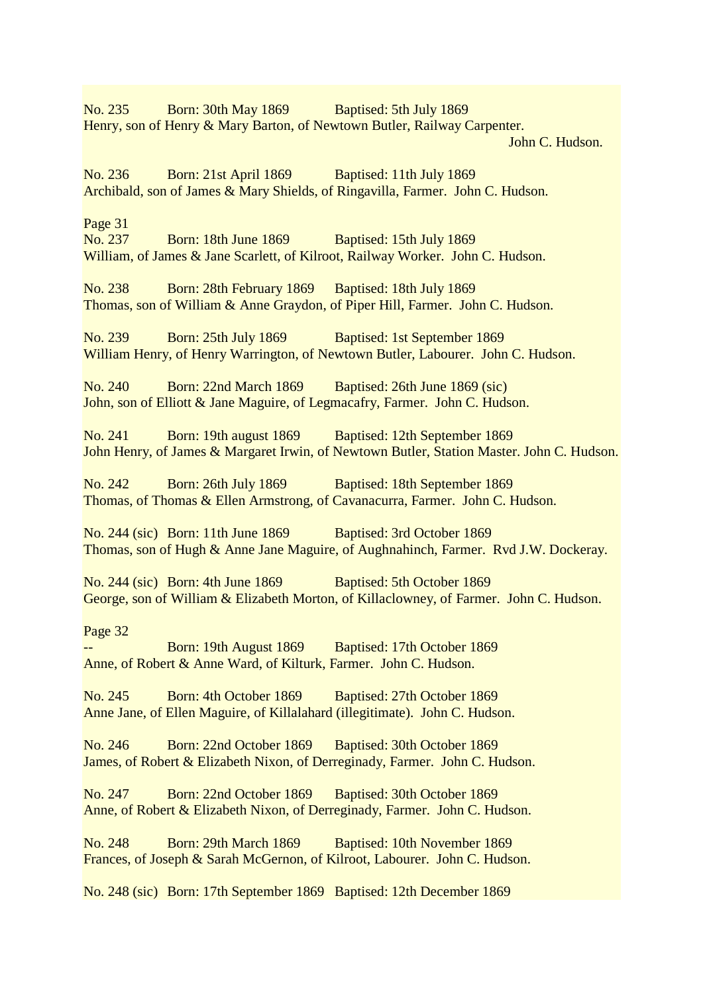No. 235 Born: 30th May 1869 Baptised: 5th July 1869 Henry, son of Henry & Mary Barton, of Newtown Butler, Railway Carpenter.

John C. Hudson.

No. 236 Born: 21st April 1869 Baptised: 11th July 1869 Archibald, son of James & Mary Shields, of Ringavilla, Farmer. John C. Hudson.

Page 31

No. 237 Born: 18th June 1869 Baptised: 15th July 1869 William, of James & Jane Scarlett, of Kilroot, Railway Worker. John C. Hudson.

No. 238 Born: 28th February 1869 Baptised: 18th July 1869 Thomas, son of William & Anne Graydon, of Piper Hill, Farmer. John C. Hudson.

No. 239 Born: 25th July 1869 Baptised: 1st September 1869 William Henry, of Henry Warrington, of Newtown Butler, Labourer. John C. Hudson.

No. 240 Born: 22nd March 1869 Baptised: 26th June 1869 (sic) John, son of Elliott & Jane Maguire, of Legmacafry, Farmer. John C. Hudson.

No. 241 Born: 19th august 1869 Baptised: 12th September 1869 John Henry, of James & Margaret Irwin, of Newtown Butler, Station Master. John C. Hudson.

No. 242 Born: 26th July 1869 Baptised: 18th September 1869 Thomas, of Thomas & Ellen Armstrong, of Cavanacurra, Farmer. John C. Hudson.

No. 244 (sic) Born: 11th June 1869 Baptised: 3rd October 1869 Thomas, son of Hugh & Anne Jane Maguire, of Aughnahinch, Farmer. Rvd J.W. Dockeray.

No. 244 (sic) Born: 4th June 1869 Baptised: 5th October 1869 George, son of William & Elizabeth Morton, of Killaclowney, of Farmer. John C. Hudson.

Page 32

Born: 19th August 1869 Baptised: 17th October 1869 Anne, of Robert & Anne Ward, of Kilturk, Farmer. John C. Hudson.

No. 245 Born: 4th October 1869 Baptised: 27th October 1869 Anne Jane, of Ellen Maguire, of Killalahard (illegitimate). John C. Hudson.

No. 246 Born: 22nd October 1869 Baptised: 30th October 1869 James, of Robert & Elizabeth Nixon, of Derreginady, Farmer. John C. Hudson.

No. 247 Born: 22nd October 1869 Baptised: 30th October 1869 Anne, of Robert & Elizabeth Nixon, of Derreginady, Farmer. John C. Hudson.

No. 248 Born: 29th March 1869 Baptised: 10th November 1869 Frances, of Joseph & Sarah McGernon, of Kilroot, Labourer. John C. Hudson.

No. 248 (sic) Born: 17th September 1869 Baptised: 12th December 1869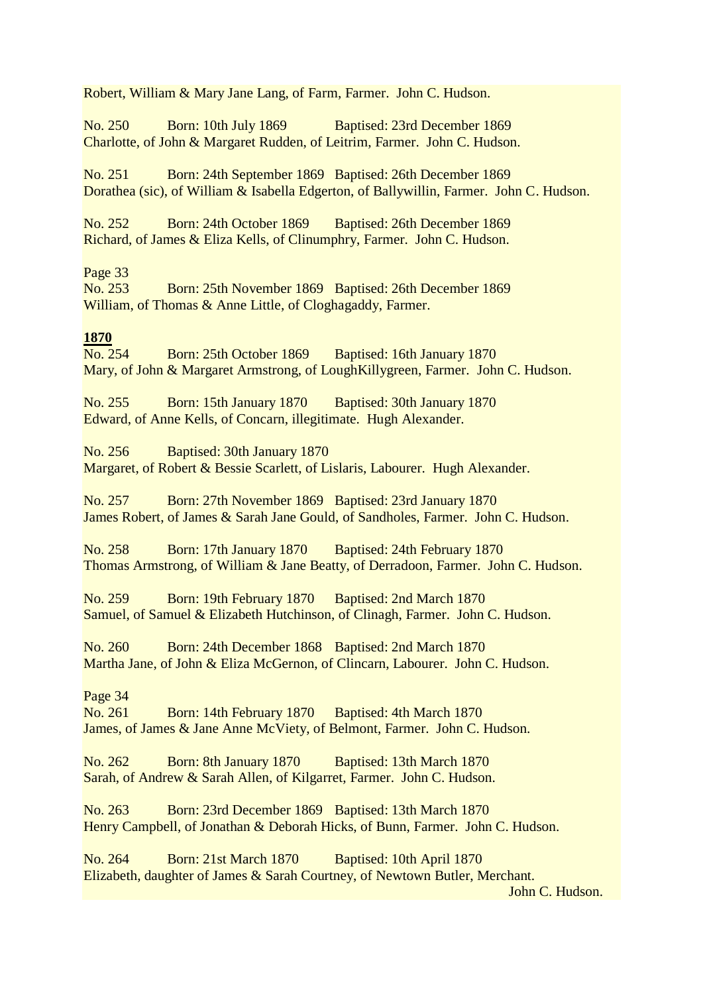Robert, William & Mary Jane Lang, of Farm, Farmer. John C. Hudson.

No. 250 Born: 10th July 1869 Baptised: 23rd December 1869 Charlotte, of John & Margaret Rudden, of Leitrim, Farmer. John C. Hudson.

No. 251 Born: 24th September 1869 Baptised: 26th December 1869 Dorathea (sic), of William & Isabella Edgerton, of Ballywillin, Farmer. John C. Hudson.

No. 252 Born: 24th October 1869 Baptised: 26th December 1869 Richard, of James & Eliza Kells, of Clinumphry, Farmer. John C. Hudson.

Page 33

No. 253 Born: 25th November 1869 Baptised: 26th December 1869 William, of Thomas & Anne Little, of Cloghagaddy, Farmer.

# **1870**

No. 254 Born: 25th October 1869 Baptised: 16th January 1870 Mary, of John & Margaret Armstrong, of LoughKillygreen, Farmer. John C. Hudson.

No. 255 Born: 15th January 1870 Baptised: 30th January 1870 Edward, of Anne Kells, of Concarn, illegitimate. Hugh Alexander.

No. 256 Baptised: 30th January 1870 Margaret, of Robert & Bessie Scarlett, of Lislaris, Labourer. Hugh Alexander.

No. 257 Born: 27th November 1869 Baptised: 23rd January 1870 James Robert, of James & Sarah Jane Gould, of Sandholes, Farmer. John C. Hudson.

No. 258 Born: 17th January 1870 Baptised: 24th February 1870 Thomas Armstrong, of William & Jane Beatty, of Derradoon, Farmer. John C. Hudson.

No. 259 Born: 19th February 1870 Baptised: 2nd March 1870 Samuel, of Samuel & Elizabeth Hutchinson, of Clinagh, Farmer. John C. Hudson.

No. 260 Born: 24th December 1868 Baptised: 2nd March 1870 Martha Jane, of John & Eliza McGernon, of Clincarn, Labourer. John C. Hudson.

## Page 34

No. 261 Born: 14th February 1870 Baptised: 4th March 1870 James, of James & Jane Anne McViety, of Belmont, Farmer. John C. Hudson.

No. 262 Born: 8th January 1870 Baptised: 13th March 1870 Sarah, of Andrew & Sarah Allen, of Kilgarret, Farmer. John C. Hudson.

No. 263 Born: 23rd December 1869 Baptised: 13th March 1870 Henry Campbell, of Jonathan & Deborah Hicks, of Bunn, Farmer. John C. Hudson.

No. 264 Born: 21st March 1870 Baptised: 10th April 1870 Elizabeth, daughter of James & Sarah Courtney, of Newtown Butler, Merchant.

John C. Hudson.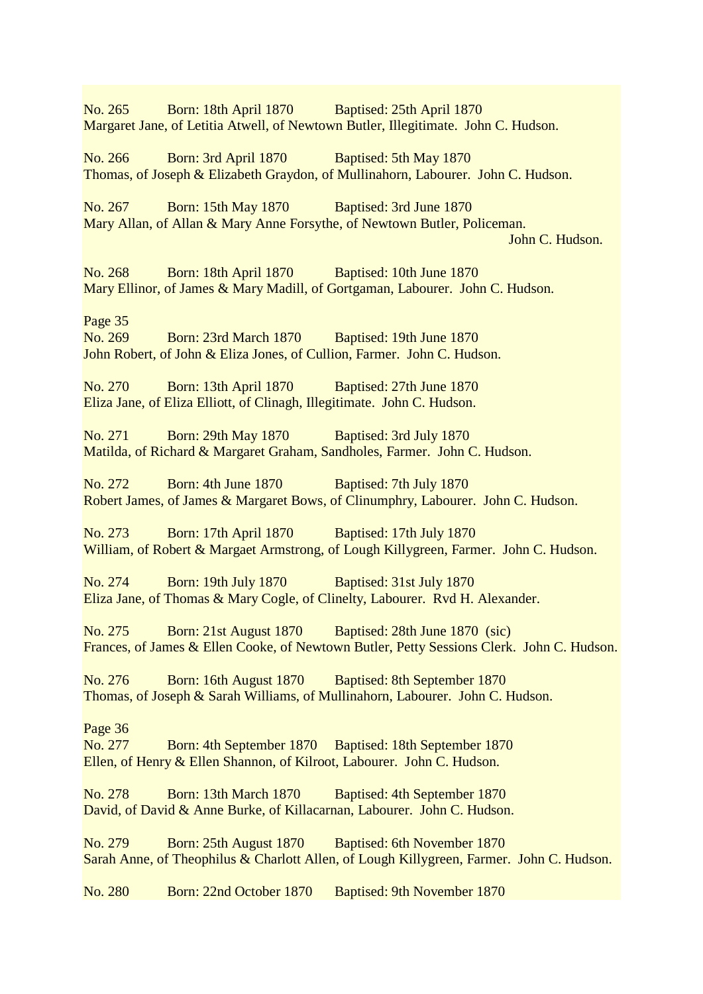No. 265 Born: 18th April 1870 Baptised: 25th April 1870 Margaret Jane, of Letitia Atwell, of Newtown Butler, Illegitimate. John C. Hudson. No. 266 Born: 3rd April 1870 Baptised: 5th May 1870 Thomas, of Joseph & Elizabeth Graydon, of Mullinahorn, Labourer. John C. Hudson. No. 267 Born: 15th May 1870 Baptised: 3rd June 1870 Mary Allan, of Allan & Mary Anne Forsythe, of Newtown Butler, Policeman. John C. Hudson. No. 268 Born: 18th April 1870 Baptised: 10th June 1870 Mary Ellinor, of James & Mary Madill, of Gortgaman, Labourer. John C. Hudson. Page 35 No. 269 Born: 23rd March 1870 Baptised: 19th June 1870 John Robert, of John & Eliza Jones, of Cullion, Farmer. John C. Hudson. No. 270 Born: 13th April 1870 Baptised: 27th June 1870 Eliza Jane, of Eliza Elliott, of Clinagh, Illegitimate. John C. Hudson. No. 271 Born: 29th May 1870 Baptised: 3rd July 1870 Matilda, of Richard & Margaret Graham, Sandholes, Farmer. John C. Hudson. No. 272 Born: 4th June 1870 Baptised: 7th July 1870 Robert James, of James & Margaret Bows, of Clinumphry, Labourer. John C. Hudson. No. 273 Born: 17th April 1870 Baptised: 17th July 1870 William, of Robert & Margaet Armstrong, of Lough Killygreen, Farmer. John C. Hudson. No. 274 Born: 19th July 1870 Baptised: 31st July 1870 Eliza Jane, of Thomas & Mary Cogle, of Clinelty, Labourer. Rvd H. Alexander. No. 275 Born: 21st August 1870 Baptised: 28th June 1870 (sic) Frances, of James & Ellen Cooke, of Newtown Butler, Petty Sessions Clerk. John C. Hudson. No. 276 Born: 16th August 1870 Baptised: 8th September 1870 Thomas, of Joseph & Sarah Williams, of Mullinahorn, Labourer. John C. Hudson. Page 36 No. 277 Born: 4th September 1870 Baptised: 18th September 1870 Ellen, of Henry & Ellen Shannon, of Kilroot, Labourer. John C. Hudson. No. 278 Born: 13th March 1870 Baptised: 4th September 1870 David, of David & Anne Burke, of Killacarnan, Labourer. John C. Hudson. No. 279 Born: 25th August 1870 Baptised: 6th November 1870 Sarah Anne, of Theophilus & Charlott Allen, of Lough Killygreen, Farmer. John C. Hudson. No. 280 Born: 22nd October 1870 Baptised: 9th November 1870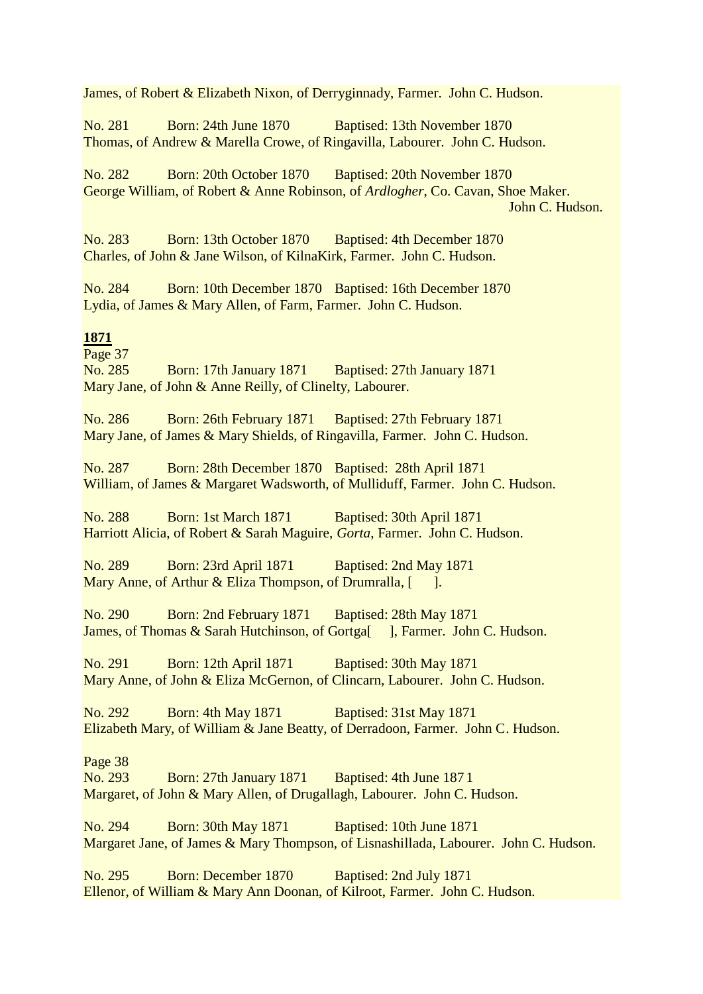James, of Robert & Elizabeth Nixon, of Derryginnady, Farmer. John C. Hudson.

No. 281 Born: 24th June 1870 Baptised: 13th November 1870 Thomas, of Andrew & Marella Crowe, of Ringavilla, Labourer. John C. Hudson.

No. 282 Born: 20th October 1870 Baptised: 20th November 1870 George William, of Robert & Anne Robinson, of *Ardlogher*, Co. Cavan, Shoe Maker. John C. Hudson.

No. 283 Born: 13th October 1870 Baptised: 4th December 1870 Charles, of John & Jane Wilson, of KilnaKirk, Farmer. John C. Hudson.

No. 284 Born: 10th December 1870 Baptised: 16th December 1870 Lydia, of James & Mary Allen, of Farm, Farmer. John C. Hudson.

## **1871**

Page 37 No. 285 Born: 17th January 1871 Baptised: 27th January 1871 Mary Jane, of John & Anne Reilly, of Clinelty, Labourer.

No. 286 Born: 26th February 1871 Baptised: 27th February 1871 Mary Jane, of James & Mary Shields, of Ringavilla, Farmer. John C. Hudson.

No. 287 Born: 28th December 1870 Baptised: 28th April 1871 William, of James & Margaret Wadsworth, of Mulliduff, Farmer. John C. Hudson.

No. 288 Born: 1st March 1871 Baptised: 30th April 1871 Harriott Alicia, of Robert & Sarah Maguire, *Gorta*, Farmer. John C. Hudson.

No. 289 Born: 23rd April 1871 Baptised: 2nd May 1871 Mary Anne, of Arthur & Eliza Thompson, of Drumralla, [ ].

No. 290 Born: 2nd February 1871 Baptised: 28th May 1871 James, of Thomas & Sarah Hutchinson, of Gortga<sup>[ ]</sup>, Farmer. John C. Hudson.

No. 291 Born: 12th April 1871 Baptised: 30th May 1871 Mary Anne, of John & Eliza McGernon, of Clincarn, Labourer. John C. Hudson.

No. 292 Born: 4th May 1871 Baptised: 31st May 1871 Elizabeth Mary, of William & Jane Beatty, of Derradoon, Farmer. John C. Hudson.

#### Page 38

No. 293 Born: 27th January 1871 Baptised: 4th June 187 1 Margaret, of John & Mary Allen, of Drugallagh, Labourer. John C. Hudson.

No. 294 Born: 30th May 1871 Baptised: 10th June 1871 Margaret Jane, of James & Mary Thompson, of Lisnashillada, Labourer. John C. Hudson.

No. 295 Born: December 1870 Baptised: 2nd July 1871 Ellenor, of William & Mary Ann Doonan, of Kilroot, Farmer. John C. Hudson.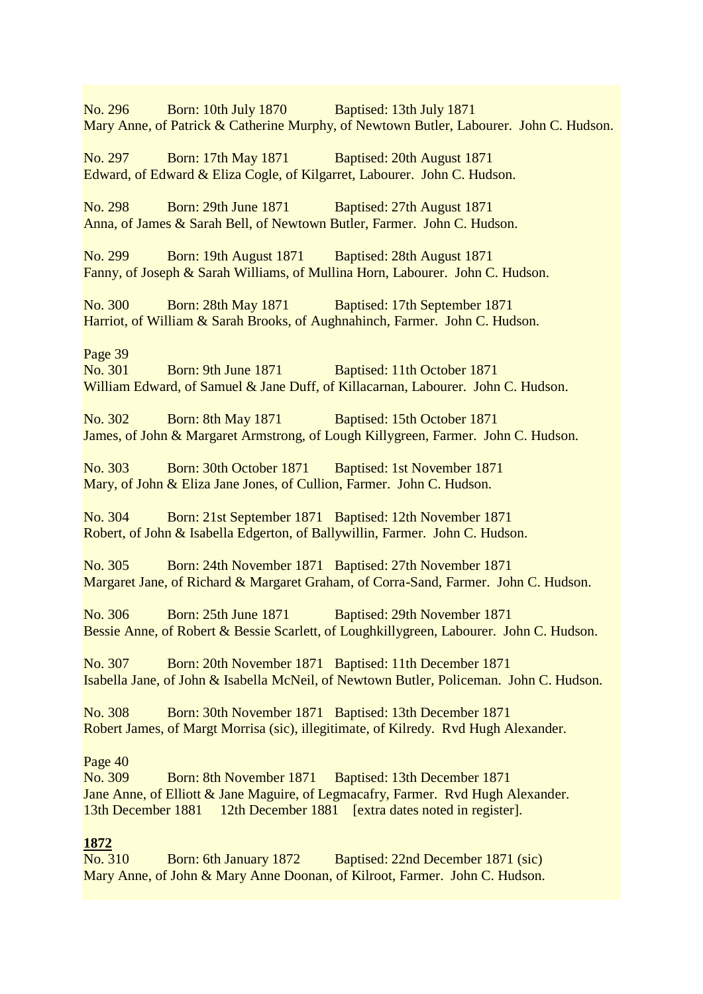No. 296 Born: 10th July 1870 Baptised: 13th July 1871 Mary Anne, of Patrick & Catherine Murphy, of Newtown Butler, Labourer. John C. Hudson. No. 297 Born: 17th May 1871 Baptised: 20th August 1871 Edward, of Edward & Eliza Cogle, of Kilgarret, Labourer. John C. Hudson. No. 298 Born: 29th June 1871 Baptised: 27th August 1871 Anna, of James & Sarah Bell, of Newtown Butler, Farmer. John C. Hudson. No. 299 Born: 19th August 1871 Baptised: 28th August 1871 Fanny, of Joseph & Sarah Williams, of Mullina Horn, Labourer. John C. Hudson. No. 300 Born: 28th May 1871 Baptised: 17th September 1871 Harriot, of William & Sarah Brooks, of Aughnahinch, Farmer. John C. Hudson. Page 39 No. 301 Born: 9th June 1871 Baptised: 11th October 1871 William Edward, of Samuel & Jane Duff, of Killacarnan, Labourer. John C. Hudson. No. 302 Born: 8th May 1871 Baptised: 15th October 1871 James, of John & Margaret Armstrong, of Lough Killygreen, Farmer. John C. Hudson. No. 303 Born: 30th October 1871 Baptised: 1st November 1871 Mary, of John & Eliza Jane Jones, of Cullion, Farmer. John C. Hudson. No. 304 Born: 21st September 1871 Baptised: 12th November 1871 Robert, of John & Isabella Edgerton, of Ballywillin, Farmer. John C. Hudson. No. 305 Born: 24th November 1871 Baptised: 27th November 1871 Margaret Jane, of Richard & Margaret Graham, of Corra-Sand, Farmer. John C. Hudson. No. 306 Born: 25th June 1871 Baptised: 29th November 1871 Bessie Anne, of Robert & Bessie Scarlett, of Loughkillygreen, Labourer. John C. Hudson. No. 307 Born: 20th November 1871 Baptised: 11th December 1871 Isabella Jane, of John & Isabella McNeil, of Newtown Butler, Policeman. John C. Hudson. No. 308 Born: 30th November 1871 Baptised: 13th December 1871 Robert James, of Margt Morrisa (sic), illegitimate, of Kilredy. Rvd Hugh Alexander. Page 40 No. 309 Born: 8th November 1871 Baptised: 13th December 1871 Jane Anne, of Elliott & Jane Maguire, of Legmacafry, Farmer. Rvd Hugh Alexander. 13th December 1881 12th December 1881 [extra dates noted in register]. **1872** No. 310 Born: 6th January 1872 Baptised: 22nd December 1871 (sic) Mary Anne, of John & Mary Anne Doonan, of Kilroot, Farmer. John C. Hudson.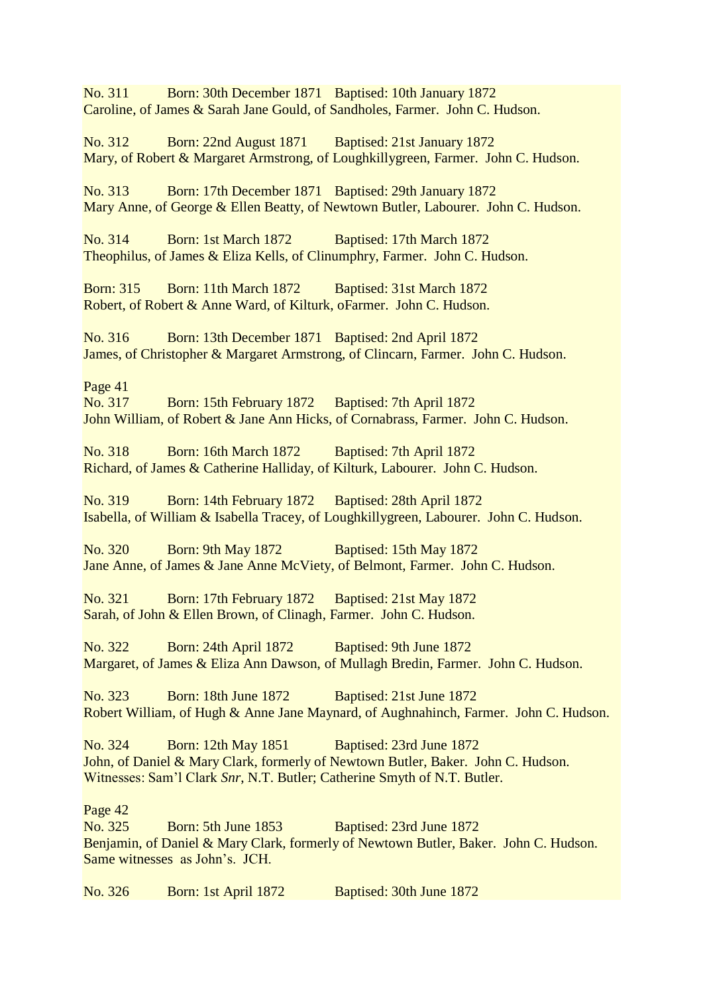No. 311 Born: 30th December 1871 Baptised: 10th January 1872 Caroline, of James & Sarah Jane Gould, of Sandholes, Farmer. John C. Hudson.

No. 312 Born: 22nd August 1871 Baptised: 21st January 1872 Mary, of Robert & Margaret Armstrong, of Loughkillygreen, Farmer. John C. Hudson.

No. 313 Born: 17th December 1871 Baptised: 29th January 1872 Mary Anne, of George & Ellen Beatty, of Newtown Butler, Labourer. John C. Hudson.

No. 314 Born: 1st March 1872 Baptised: 17th March 1872 Theophilus, of James & Eliza Kells, of Clinumphry, Farmer. John C. Hudson.

Born: 315 Born: 11th March 1872 Baptised: 31st March 1872 Robert, of Robert & Anne Ward, of Kilturk, oFarmer. John C. Hudson.

No. 316 Born: 13th December 1871 Baptised: 2nd April 1872 James, of Christopher & Margaret Armstrong, of Clincarn, Farmer. John C. Hudson.

Page 41

No. 317 Born: 15th February 1872 Baptised: 7th April 1872 John William, of Robert & Jane Ann Hicks, of Cornabrass, Farmer. John C. Hudson.

No. 318 Born: 16th March 1872 Baptised: 7th April 1872 Richard, of James & Catherine Halliday, of Kilturk, Labourer. John C. Hudson.

No. 319 Born: 14th February 1872 Baptised: 28th April 1872 Isabella, of William & Isabella Tracey, of Loughkillygreen, Labourer. John C. Hudson.

No. 320 Born: 9th May 1872 Baptised: 15th May 1872 Jane Anne, of James & Jane Anne McViety, of Belmont, Farmer. John C. Hudson.

No. 321 Born: 17th February 1872 Baptised: 21st May 1872 Sarah, of John & Ellen Brown, of Clinagh, Farmer. John C. Hudson.

No. 322 Born: 24th April 1872 Baptised: 9th June 1872 Margaret, of James & Eliza Ann Dawson, of Mullagh Bredin, Farmer. John C. Hudson.

No. 323 Born: 18th June 1872 Baptised: 21st June 1872 Robert William, of Hugh & Anne Jane Maynard, of Aughnahinch, Farmer. John C. Hudson.

No. 324 Born: 12th May 1851 Baptised: 23rd June 1872 John, of Daniel & Mary Clark, formerly of Newtown Butler, Baker. John C. Hudson. Witnesses: Sam'l Clark *Snr*, N.T. Butler; Catherine Smyth of N.T. Butler.

Page 42

No. 325 Born: 5th June 1853 Baptised: 23rd June 1872 Benjamin, of Daniel & Mary Clark, formerly of Newtown Butler, Baker. John C. Hudson. Same witnesses as John's. JCH.

No. 326 Born: 1st April 1872 Baptised: 30th June 1872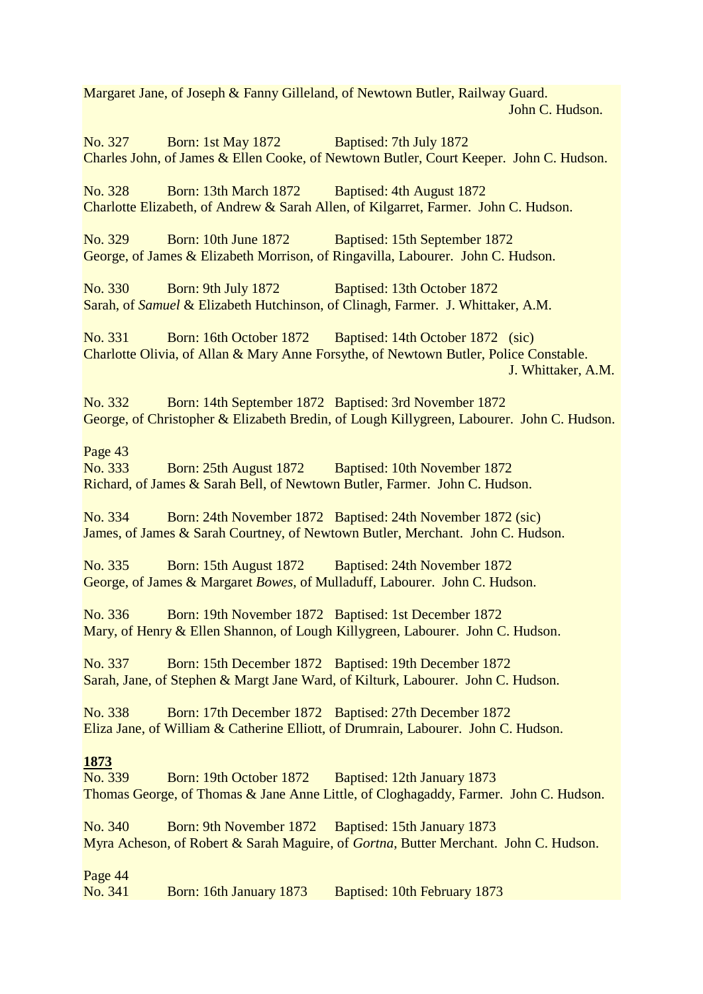Margaret Jane, of Joseph & Fanny Gilleland, of Newtown Butler, Railway Guard. John C. Hudson.

No. 327 Born: 1st May 1872 Baptised: 7th July 1872 Charles John, of James & Ellen Cooke, of Newtown Butler, Court Keeper. John C. Hudson. No. 328 Born: 13th March 1872 Baptised: 4th August 1872 Charlotte Elizabeth, of Andrew & Sarah Allen, of Kilgarret, Farmer. John C. Hudson. No. 329 Born: 10th June 1872 Baptised: 15th September 1872 George, of James & Elizabeth Morrison, of Ringavilla, Labourer. John C. Hudson. No. 330 Born: 9th July 1872 Baptised: 13th October 1872 Sarah, of *Samuel* & Elizabeth Hutchinson, of Clinagh, Farmer. J. Whittaker, A.M. No. 331 Born: 16th October 1872 Baptised: 14th October 1872 (sic) Charlotte Olivia, of Allan & Mary Anne Forsythe, of Newtown Butler, Police Constable. J. Whittaker, A.M. No. 332 Born: 14th September 1872 Baptised: 3rd November 1872 George, of Christopher & Elizabeth Bredin, of Lough Killygreen, Labourer. John C. Hudson. Page 43 No. 333 Born: 25th August 1872 Baptised: 10th November 1872 Richard, of James & Sarah Bell, of Newtown Butler, Farmer. John C. Hudson. No. 334 Born: 24th November 1872 Baptised: 24th November 1872 (sic) James, of James & Sarah Courtney, of Newtown Butler, Merchant. John C. Hudson. No. 335 Born: 15th August 1872 Baptised: 24th November 1872 George, of James & Margaret *Bowes*, of Mulladuff, Labourer. John C. Hudson. No. 336 Born: 19th November 1872 Baptised: 1st December 1872 Mary, of Henry & Ellen Shannon, of Lough Killygreen, Labourer. John C. Hudson. No. 337 Born: 15th December 1872 Baptised: 19th December 1872 Sarah, Jane, of Stephen & Margt Jane Ward, of Kilturk, Labourer. John C. Hudson. No. 338 Born: 17th December 1872 Baptised: 27th December 1872 Eliza Jane, of William & Catherine Elliott, of Drumrain, Labourer. John C. Hudson. **1873** No. 339 Born: 19th October 1872 Baptised: 12th January 1873 Thomas George, of Thomas & Jane Anne Little, of Cloghagaddy, Farmer. John C. Hudson. No. 340 Born: 9th November 1872 Baptised: 15th January 1873 Myra Acheson, of Robert & Sarah Maguire, of *Gortna*, Butter Merchant. John C. Hudson. Page 44

No. 341 Born: 16th January 1873 Baptised: 10th February 1873